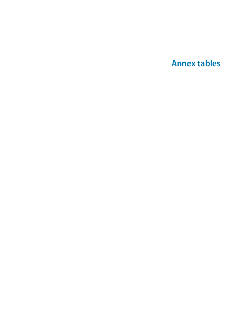**Annex tables**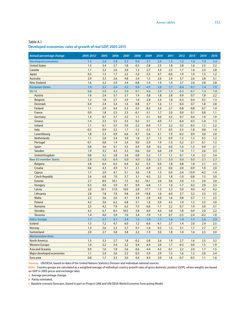### Table A.1 **Developed economies: rates of growth of real GDP, 2005-2015**

| Annual percentage change    | 2005-2012 <sup>a</sup> | 2005        | 2006        | 2007        | 2008          | 2009              | 2010          | 2011       | 2012             | 2013 <sup>b</sup> | 2014 <sup>c</sup> | 2015 <sup>c</sup> |
|-----------------------------|------------------------|-------------|-------------|-------------|---------------|-------------------|---------------|------------|------------------|-------------------|-------------------|-------------------|
| <b>Developed economies</b>  | 1.2                    | 2.6         | 2.8         | 2.5         | 0.0           | $-3.7$            | 2.6           | 1.5        | 1.3              | 1.0               | 1.9               | 2.4               |
| <b>United States</b>        | 1.5                    | 3.4         | 2.7         | 1.8         | $-0.3$        | $-2.8$            | 2.5           | 1.8        | 2.8              | 1.6               | 2.5               | 3.2               |
| Canada                      | 1.7                    | 3.2         | 2.6         | 2.0         | 1.2           | $-2.7$            | 3.4           | 2.5        | 1.7              | 1.6               | 2.4               | 2.8               |
| Japan                       | 0.5                    | 1.3         | 1.7         | 2.2         | $-1.0$        | $-5.5$            | 4.7           | $-0.6$     | 1.9              | 1.9               | 1.5               | 1.2               |
| Australia                   | 2.9                    | 3.3         | 2.6         | 4.8         | 2.4           | 1.5               | 2.6           | 2.4        | 3.7              | 2.6               | 2.8               | 3.1               |
| <b>New Zealand</b>          | 1.6                    | 3.2         | 2.9         | 3.4         | $-0.8$        | $-1.4$            | 1.9           | 1.4        | 2.7              | 2.6               | 2.8               | 2.8               |
| <b>European Union</b>       | 1.0                    | 2.2         | 3.4         | 3.2         | 0.4           | $-4.5$            | 2.0           | 1.7        | $-0.4$           | $-0.1$            | 1.4               | 1.9               |
| <b>EU-15</b>                | 0.8                    | 2.0         | 3.2         | 3.0         | 0.1           | $-4.6$            | 2.0           | 1.5        | $-0.5$           | $-0.1$            | 1.4               | 1.8               |
| <b>Austria</b>              | 1.6                    | 2.4         | 3.7         | 3.7         | 1.4           | $-3.8$            | 1.8           | 2.8        | 0.9              | 0.7               | 1.8               | 2.2               |
| <b>Belgium</b>              | 1.2                    | 1.8         | 2.7         | 2.9         | 1.0           | $-2.8$            | 2.4           | 1.8        | $-0.3$           | $-0.4$            | 0.5               | 1.3               |
| <b>Denmark</b>              | 0.4                    | 2.4         | 3.4         | 1.6         | $-0.8$        | $-5.7$            | 1.6           | 1.1        | $-0.4$           | 0.7               | 1.8               | 2.8               |
| <b>Finland</b>              | 1.1                    | 2.9         | 4.4         | 5.3         | 0.3           | $-8.5$            | 3.4           | 2.7        | $-0.8$           | $-0.8$            | 0.7               | 1.4               |
| France                      | 0.9                    | 1.8         | 2.5         | 2.3         | $-0.1$        | $-3.1$            | 1.7           | 2.0        | 0.0              | 0.1               | 0.8               | 1.1               |
| Germany                     | 1.4                    | 0.7         | 3.7         | 3.3         | 1.1           | $-5.1$            | 4.0           | 3.3        | 0.7              | 0.4               | 1.9               | 1.9               |
| Greece                      | $-1.4$                 | 2.3         | 5.5         | 3.5         | $-0.2$        | $-3.1$            | $-4.9$        | $-7.1$     | $-6.4$           | $-4.5$            | $-1.0$            | 1.3               |
| Ireland                     | 1.1                    | 6.1         | 5.5         | 5.0         | $-2.2$        | $-6.4$            | $-1.1$        | 2.2        | 0.2              | $-0.3$            | 1.2               | 2.2               |
| Italy                       | $-0.3$                 | 0.9         | 2.2         | 1.7         | $-1.2$        | $-5.5$            | 1.7           | 0.5        | $-2.5$           | $-1.8$            | 0.8               | 1.4               |
| Luxembourg                  | 1.8                    | 5.3         | 4.9         | 6.6         | $-0.7$        | $-5.6$            | 3.1           | 1.9        | $-0.2$           | 0.9               | 3.0               | 2.0               |
| <b>Netherlands</b>          | 1.1                    | 2.0         | 3.4         | 3.9         | 1.8           | $-3.7$            | 1.5           | 0.9        | $-1.2$           | $-1.2$            | 0.5               | 1.2               |
| Portugal                    | $-0.1$                 | 0.8         | 1.4         | 2.4         | 0.0           | $-2.9$            | 1.9           | $-1.3$     | $-3.2$           | $-2.1$            | 0.1               | 1.3               |
| Spain                       | 0.8                    | 3.6         | 4.1         | 3.5         | 0.9           | $-3.8$            | $-0.2$        | 0.0        | $-1.6$           | $-1.2$            | 0.9               | 2.1               |
| Sweden                      | 1.9                    | 3.2         | 4.3         | 3.3         | $-0.6$        | $-5.0$            | 6.6           | 2.9        | 1.0              | 1.1               | 2.6               | 3.3               |
| <b>United Kingdom</b>       | 0.8                    | 3.2         | 2.8         | 3.4         | $-0.8$        | $-5.2$            | 1.7           | 1.1        | 0.1              | 1.4               | 2.2               | 2.4               |
| <b>New EU member States</b> | 2.8                    | 4.8         | 6.4         | 6.0         | 4.0           | $-3.8$            | 2.1           | 3.0        | 0.6              | 0.5               | 2.1               | 2.7               |
| <b>Bulgaria</b>             | 2.8                    | 6.4         | 6.5         | 6.4         | 6.2           | $-5.5$            | 0.4           | 1.8        | 0.8              | 1.0               | 2.1               | 2.3               |
| Croatia                     | 0.6                    | 4.3         | 4.9         | 5.1         | 2.1           | $-6.9$            | $-2.3$        | 0.0        | $-2.0$           | $-0.9$            | 1.0               | 2.0               |
| Cyprus                      | 1.7                    | 3.9<br>6.8  | 4.1<br>7.0  | 5.1         | 3.6           | $-1.9$<br>$-4.5$  | 1.3<br>2.5    | 0.4        | $-2.4$<br>$-1.0$ | $-13.9$           | $-4.2$            | $-1.4$            |
| <b>Czech Republic</b>       | 2.6                    |             |             | 5.7         | 3.1           |                   |               | 1.8        | 3.9              | $-0.8$            | 1.5               | 3.0               |
| Estonia                     | 2.7<br>0.3             | 8.9         | 10.1<br>3.9 | 7.5         | $-4.2$        | $-14.1$           | 2.6           | 9.6        |                  | 1.5               | 2.9               | 3.0               |
| Hungary<br>Latvia           | 2.0                    | 4.0<br>10.1 | 11.0        | 0.1<br>10.0 | 0.9<br>$-2.8$ | $-6.8$<br>$-17.7$ | 1.1<br>$-1.3$ | 1.6<br>5.3 | $-1.7$<br>5.0    | 0.2<br>4.0        | 2.0<br>4.2        | 2.3<br>4.2        |
| Lithuania                   | 2.8                    | 7.8         | 7.8         | 9.8         | 2.9           | $-14.8$           | 1.6           | 6.0        | 3.7              | 3.2               | 3.5               | 3.5               |
| Malta                       | 2.2                    | 3.6         | 2.6         | 4.1         | 3.9           | $-2.8$            | 4.0           | 1.6        | 0.8              | 0.7               | 1.1               | 2.5               |
| Poland                      | 4.2                    | 3.6         | 6.2         | 6.8         | 5.1           | 1.6               | 3.9           | 4.5        | 1.9              | 1.2               | 2.5               | 3.0               |
| Romania                     | 2.5                    | 4.2         | 7.9         | 6.3         | 7.3           | $-6.6$            | $-1.1$        | 2.2        | 0.7              | 1.9               | 3.0               | 3.1               |
| Slovakia                    | 4.3                    | 6.7         | 8.3         | 10.5        | 5.8           | $-4.9$            | 4.4           | 3.0        | 1.8              | 0.9               | 2.0               | 2.2               |
| Slovenia                    | 1.4                    | 4.0         | 5.9         | 7.0         | 3.4           | $-7.9$            | 1.3           | 0.7        | $-2.5$           | $-2.4$            | $-0.2$            | 1.0               |
| <b>Other Europe</b>         | 1.7                    | 2.7         | 3.1         | 3.4         | 1.3           | $-1.9$            | 1.7           | 1.6        | 1.9              | 1.7               | 2.6               | 2.9               |
| Iceland                     | 1.5                    | 7.2         | 4.7         | 6.0         | 1.2           | $-6.6$            | $-4.1$        | 2.7        | 1.4              | 2.0               | 2.4               | 2.5               |
| <b>Norway</b>               | 1.3                    | 2.6         | 2.3         | 2.7         | 0.1           | $-1.6$            | 0.5           | 1.2        | 3.1              | 1.7               | 2.7               | 2.7               |
| Switzerland                 | 2.0                    | 2.7         | 3.8         | 3.8         | 2.2           | $-1.9$            | 3.0           | 1.8        | 1.0              | 1.6               | 2.5               | 3.0               |
| Memorandum items            |                        |             |             |             |               |                   |               |            |                  |                   |                   |                   |
| <b>North America</b>        | 1.5                    | 3.3         | 2.7         | 1.8         | $-0.2$        | $-2.8$            | 2.6           | 1.9        | 2.7              | 1.6               | 2.5               | 3.2               |
| <b>Western Europe</b>       | 1.0                    | 2.2         | 3.4         | 3.2         | 0.4           | $-4.4$            | 2.0           | 1.7        | $-0.3$           | 0.0               | 1.5               | 1.9               |
| Asia and Oceania            | 0.9                    | 1.6         | 1.8         | 2.6         | $-0.6$        | $-4.4$            | 4.3           | $-0.1$     | 2.2              | 2.0               | 1.7               | 1.5               |
| Major developed economies   | $1.1$                  | 2.4         | 2.6         | 2.2         | $-0.3$        | $-3.9$            | 2.9           | 1.5        | 1.6              | 1.2               | 2.0               | 2.4               |
| Euro area                   | 0.8                    | 1.7         | 3.3         | 3.0         | 0.4           | $-4.4$            | 2.0           | 1.6        | $-0.7$           | $-0.5$            | 1.1               | 1.6               |

**Sources:** UN/DESA, based on data of the United Nations Statistics Division and individual national sources.

**Note:** Country groups are calculated as a weighted average of individual country growth rates of gross domestic product (GDP), where weights are based on GDP in 2005 prices and exchange rates.

**a** Average percentage change.

**b** Partly estimated.

**c** Baseline scenario forecasts, based in part on Project LINK and UN/DESA World Economic Forecasting Model.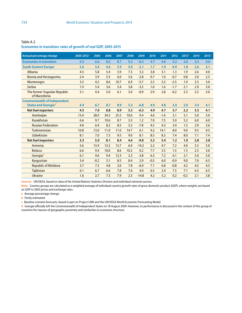| Annual percentage change                     | 2005-2012 <sup>a</sup> | 2005   | 2006 | 2007 | 2008 | 2009    | 2010   | 2011   | 2012   | 2013 <sup>b</sup> | 2014 <sup>c</sup> | 2015 <sup>c</sup> |
|----------------------------------------------|------------------------|--------|------|------|------|---------|--------|--------|--------|-------------------|-------------------|-------------------|
| <b>Economies in transition</b>               | 4.3                    | 6.6    | 8.5  | 8.7  | 5.3  | $-6.5$  | 4.7    | 4.6    | 3.2    | 2.0               | 3.3               | 4.0               |
| <b>South-Eastern Europe</b>                  | 2.6                    | 5.0    | 4.6  | 5.9  | 5.0  | $-2.1$  | 1.7    | 1.9    | $-0.9$ | 1.8               | 2.6               | 3.1               |
| Albania                                      | 4.5                    | 5.8    | 5.4  | 5.9  | 7.5  | 3.3     | 3.8    | 3.1    | 1.3    | 1.9               | 2.6               | 4.0               |
| <b>Bosnia and Herzegovina</b>                | 2.4                    | 3.9    | 5.5  | 6.0  | 5.6  | $-2.8$  | 0.7    | 1.0    | $-0.7$ | 0.8               | 2.0               | 2.5               |
| Montenegro                                   | 3.3                    | 4.2    | 8.6  | 10.7 | 6.9  | $-5.7$  | 2.5    | 3.2    | $-2.5$ | 1.9               | 2.5               | 3.0               |
| Serbia                                       | 1.9                    | 5.4    | 3.6  | 5.4  | 3.8  | $-3.5$  | 1.0    | 1.6    | $-1.7$ | 2.1               | 2.9               | 3.0               |
| The former Yugoslav Republic<br>of Macedonia | 3.1                    | 4.4    | 5.0  | 6.1  | 5.0  | $-0.9$  | 2.9    | 2.8    | $-0.2$ | 2.3               | 2.5               | 3.0               |
| <b>Commonwealth of Independent</b>           |                        |        |      |      |      |         |        |        |        |                   |                   |                   |
| <b>States and Georgiad</b>                   | 4.4                    | 6.7    | 8.7  | 8.9  | 5.3  | $-6.8$  | 4.9    | 4.8    | 3.4    | 2.0               | 3.4               | 4.1               |
| <b>Net fuel exporters</b>                    | 4.5                    | 7.0    | 8.8  | 8.9  | 5.5  | $-6.3$  | 4.9    | 4.7    | 3.7    | 2.2               | 3.5               | 4.1               |
| Azerbaijan                                   | 13.4                   | 28.0   | 34.5 | 25.5 | 10.6 | 9.4     | 4.6    | $-1.6$ | 2.1    | 5.1               | 5.0               | 5.0               |
| Kazakhstan                                   | 6.6                    | 9.7    | 10.6 | 8.7  | 3.3  | 1.2     | 7.0    | 7.5    | 5.0    | 5.2               | 6.0               | 6.0               |
| <b>Russian Federation</b>                    | 4.0                    | 6.4    | 8.2  | 8.5  | 5.2  | $-7.8$  | 4.5    | 4.3    | 3.4    | 1.5               | 2.9               | 3.6               |
| Turkmenistan                                 | 10.8                   | 13.0   | 11.0 | 11.0 | 14.7 | 6.1     | 9.2    | 14.1   | 8.0    | 9.0               | 9.5               | 9.5               |
| <b>Uzbekistan</b>                            | 8.1                    | 7.0    | 7.3  | 9.5  | 9.0  | 8.1     | 8.5    | 8.3    | 7.4    | 8.0               | 7.1               | 7.4               |
| <b>Net fuel importers</b>                    | 3.3                    | 5.0    | 8.1  | 8.4  | 4.6  | $-9.8$  | 5.2    | 5.4    | 1.2    | 1.0               | 2.8               | 3.8               |
| Armenia                                      | 5.6                    | 13.9   | 13.2 | 13.7 | 6.9  | $-14.2$ | 2.2    | 4.7    | 7.2    | 4.0               | 5.5               | 5.0               |
| <b>Belarus</b>                               | 6.6                    | 9.4    | 10.0 | 8.6  | 10.2 | 0.2     | 7.7    | 5.5    | 1.5    | 1.5               | 2.5               | 3.0               |
| Georgiad                                     | 6.1                    | 9.6    | 9.4  | 12.3 | 2.3  | $-3.8$  | 6.3    | 7.2    | 6.1    | 2.1               | 5.0               | 5.0               |
| Kyrgyzstan                                   | 3.4                    | $-0.2$ | 3.1  | 8.5  | 8.4  | 2.9     | $-0.5$ | 6.0    | $-0.9$ | 9.0               | 7.0               | 6.5               |
| <b>Republic of Moldova</b>                   | 3.7                    | 7.5    | 4.8  | 3.0  | 7.8  | $-6.0$  | 7.1    | 6.8    | $-0.8$ | 4.2               | 4.5               | 4.5               |
| <b>Tajikistan</b>                            | 6.1                    | 6.7    | 6.6  | 7.8  | 7.6  | 4.0     | 6.5    | 2.4    | 7.5    | 7.1               | 6.5               | 6.5               |
| <b>Ukraine</b>                               | 1.6                    | 2.7    | 7.3  | 7.9  | 2.3  | $-14.8$ | 4.2    | 5.2    | 0.2    | $-0.2$            | 2.1               | 3.8               |

Table A.2 **Economies in transition: rates of growth of real GDP, 2005-2015**

**Sources:** UN/DESA, based on data of the United Nations Statistics Division and individual national sources.

**Note:** Country groups are calculated as a weighted average of individual country growth rates of gross domestic product (GDP), where weights are based on GDP in 2005 prices and exchange rates.

**a** Average percentage change.

**b** Partly estimated.

**c** Baseline scenario forecasts, based in part on Project LINK and the UN/DESA World Economic Forecasting Model.

**d** Georgia officially left the Commonwealth of Independent States on 18 August 2009. However, its performance is discussed in the context of this group of countries for reasons of geographic proximity and similarities in economic structure.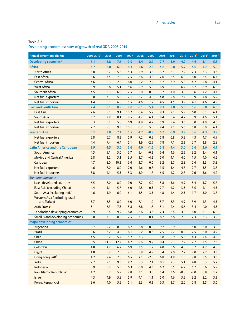**Developing economies: rates of growth of real GDP, 2005-2015**

| Annual percentage change                      | 2005-2012 <sup>a</sup> | 2005 | 2006 | 2007 | 2008 | 2009   | 2010 | 2011   | 2012   | 2013 <sup>b</sup> | 2014 <sup>c</sup> | 2015 <sup>c</sup> |
|-----------------------------------------------|------------------------|------|------|------|------|--------|------|--------|--------|-------------------|-------------------|-------------------|
| Developing countries <sup>d</sup>             | 6.1                    | 6.8  | 7.6  | 7.9  | 5.4  | 2.7    | 7.7  | 5.9    | 4.7    | 4.6               | 5.1               | 5.3               |
| <b>Africa</b>                                 | 4.7                    | 6.0  | 6.0  | 6.3  | 5.6  | 2.6    | 4.6  | 0.8    | 5.7    | 4.0               | 4.7               | 5.0               |
| <b>North Africa</b>                           | 3.8                    | 5.7  | 5.8  | 5.3  | 5.9  | 3.5    | 3.7  | $-6.1$ | 7.2    | 2.3               | 3.3               | 4.3               |
| <b>East Africa</b>                            | 6.6                    | 7.5  | 7.0  | 7.5  | 6.6  | 4.8    | 7.0  | 6.5    | 6.0    | 6.0               | 6.4               | 6.4               |
| <b>Central Africa</b>                         | 4.6                    | 5.3  | 2.5  | 6.0  | 5.2  | 2.9    | 5.2  | 3.9    | 5.8    | 4.2               | 4.8               | 4.1               |
| <b>West Africa</b>                            | 5.9                    | 5.8  | 5.1  | 5.6  | 5.9  | 5.5    | 6.9  | 6.1    | 6.7    | 6.7               | 6.9               | 6.8               |
| <b>Southern Africa</b>                        | 4.5                    | 6.3  | 6.9  | 7.5  | 5.0  | $-0.5$ | 3.7  | 4.0    | 3.5    | 3.6               | 4.2               | 4.4               |
| Net fuel exporters                            | 5.0                    | 7.1  | 5.9  | 7.1  | 6.7  | 4.0    | 4.8  | $-2.8$ | 7.7    | 3.9               | 4.8               | 5.2               |
| Net fuel importers                            | 4.4                    | 5.1  | 6.0  | 5.5  | 4.6  | 1.2    | 4.5  | 4.5    | 3.9    | 4.1               | 4.6               | 4.9               |
| <b>East and South Asia</b>                    | 7.4                    | 8.1  | 8.9  | 9.8  | 6.1  | 5.4    | 9.1  | 7.0    | 5.5    | 5.6               | 5.8               | 6.0               |
| <b>East Asia</b>                              | 7.6                    | 8.1  | 9.1  | 10.2 | 6.4  | 5.2    | 9.3  | 7.1    | 5.9    | 6.0               | 6.1               | 6.1               |
| <b>South Asia</b>                             | 6.7                    | 7.9  | 8.1  | 8.5  | 4.7  | 6.1    | 8.4  | 6.4    | 4.2    | 3.9               | 4.6               | 5.1               |
| Net fuel exporters                            | 5.3                    | 6.1  | 5.8  | 6.9  | 4.8  | 4.2    | 5.9  | 5.4    | 3.6    | 3.0               | 4.0               | 4.6               |
| Net fuel importers                            | 7.7                    | 8.3  | 9.3  | 10.1 | 6.2  | 5.5    | 9.4  | 7.1    | 5.6    | 5.8               | 6.0               | 6.1               |
| <b>Western Asia</b>                           | 5.1                    | 7.0  | 7.4  | 5.5  | 4.7  | $-0.9$ | 6.7  | 6.9    | 3.9    | 3.6               | 4.3               | 3.9               |
| <b>Net fuel exporters</b>                     | 5.8                    | 6.7  | 8.3  | 5.9  | 7.2  | 0.5    | 5.8  | 6.8    | 5.2    | 4.3               | 4.7               | 4.9               |
| Net fuel importers                            | 4.4                    | 7.4  | 6.4  | 5.1  | 1.9  | $-2.5$ | 7.8  | 7.1    | 2.3    | 2.7               | 3.8               | 2.8               |
| <b>Latin America and the Caribbean</b>        | 3.9                    | 4.5  | 5.6  | 5.6  | 4.0  | $-1.5$ | 5.8  | 4.4    | 3.0    | 2.6               | 3.6               | 4.1               |
| <b>South America</b>                          | 4.5                    | 5.1  | 5.6  | 6.7  | 5.4  | $-0.2$ | 6.4  | 4.6    | 2.5    | 3.2               | 3.4               | 4.1               |
| <b>Mexico and Central America</b>             | 2.8                    | 3.2  | 5.1  | 3.5  | 1.7  | $-4.2$ | 5.0  | 4.1    | 4.0    | 1.5               | 4.0               | 4.2               |
| Caribbean                                     | 4.7                    | 8.0  | 10.3 | 6.4  | 3.7  | 0.6    | 3.2  | 2.7    | 2.8    | 2.4               | 3.3               | 3.8               |
| Net fuel exporters                            | 4.6                    | 7.0  | 8.0  | 7.0  | 4.6  | $-0.7$ | 1.5  | 5.4    | 4.7    | 2.7               | 3.5               | 3.8               |
| Net fuel importers                            | 3.8                    | 4.1  | 5.3  | 5.3  | 3.9  | $-1.7$ | 6.5  | 4.2    | 2.7    | 2.6               | 3.6               | 4.2               |
| Memorandum items                              |                        |      |      |      |      |        |      |        |        |                   |                   |                   |
| Least developed countries                     | 6.5                    | 8.0  | 8.0  | 9.0  | 7.7  | 5.0    | 5.8  | 3.6    | 4.9    | 5.4               | 5.7               | 5.7               |
| <b>East Asia (excluding China)</b>            | 4.4                    | 5.1  | 5.7  | 6.0  | 2.8  | 0.3    | 7.7  | 4.2    | 3.3    | 3.5               | 4.1               | 4.3               |
| South Asia (excluding India)                  | 4.6                    | 5.9  | 6.0  | 6.1  | 3.5  | 3.5    | 4.8  | 4.4    | 2.3    | 1.7               | 3.0               | 3.8               |
| Western Asia (excluding Israel<br>and Turkey) | 5.7                    | 6.5  | 8.0  | 6.0  | 7.1  | 1.0    | 5.7  | 6.3    | 4.9    | 3.9               | 4.3               | 4.5               |
| <b>Arab States<sup>e</sup></b>                | 5.1                    | 6.3  | 7.3  | 5.8  | 6.8  | 1.8    | 5.1  | 2.4    | 5.6    | 3.4               | 4.0               | 4.5               |
| Landlocked developing economies               | 6.9                    | 8.4  | 9.2  | 8.8  | 6.6  | 3.3    | 7.4  | 6.4    | 4.9    | 6.0               | 6.1               | 6.0               |
| Small island developing economies             | 5.0                    | 7.1  | 8.5  | 7.5  | 3.1  | 0.1    | 8.2  | 3.8    | 2.0    | 2.3               | 3.3               | 3.9               |
| <b>Major developing economies</b>             |                        |      |      |      |      |        |      |        |        |                   |                   |                   |
| Argentina                                     | 6.7                    | 9.2  | 8.5  | 8.7  | 6.8  | 0.8    | 9.2  | 8.9    | 1.9    | 5.0               | 3.0               | 3.0               |
| <b>Brazil</b>                                 | 3.6                    | 3.2  | 4.0  | 6.1  | 5.2  | $-0.3$ | 7.5  | 2.7    | 0.9    | 2.5               | 3.0               | 4.2               |
| Chile                                         | 4.5                    | 6.2  | 5.7  | 5.2  | 3.3  | $-1.0$ | 5.8  | 5.9    | 5.6    | 4.3               | 4.4               | 4.6               |
| China                                         | 10.5                   | 11.3 | 12.7 | 14.2 | 9.6  | 9.2    | 10.4 | 9.3    | 7.7    | 7.7               | 7.5               | 7.3               |
| Colombia                                      | 4.8                    | 4.7  | 6.7  | 6.9  | 3.5  | 1.7    | 4.0  | 6.6    | 4.0    | 3.7               | 4.2               | 4.5               |
| Egypt                                         | 4.8                    | 5.7  | 7.0  | 7.1  | 5.9  | 4.9    | 3.4  | 2.0    | 2.2    | 2.0               | 2.2               | 3.3               |
| Hong Kong SARf                                | 4.2                    | 7.4  | 7.0  | 6.5  | 2.1  | $-2.5$ | 6.8  | 4.9    | 1.5    | 2.8               | 3.5               | 3.3               |
| India                                         | 7.7                    | 9.1  | 9.3  | 9.7  | 5.3  | 7.4    | 10.1 | 7.3    | 5.1    | 4.8               | 5.3               | 5.7               |
| Indonesia                                     | 5.9                    | 5.7  | 5.5  | 6.3  | 6.0  | 4.6    | 6.2  | 6.5    | 6.2    | 5.7               | 5.6               | 5.9               |
| Iran, Islamic Republic of                     | 4.2                    | 5.2  | 5.9  | 7.8  | 3.1  | 3.5    | 5.4  | 3.6    | $-0.8$ | $-2.0$            | 0.8               | 1.7               |
| Israel                                        | 4.3                    | 4.9  | 5.8  | 5.9  | 4.1  | 1.1    | 5.0  | 4.6    | 3.2    | 3.2               | 2.2               | 3.3               |
| Korea, Republic of                            | 3.6                    | 4.0  | 5.2  | 5.1  | 2.3  | 0.3    | 6.3  | 3.7    | 2.0    | 2.8               | 3.5               | 3.6               |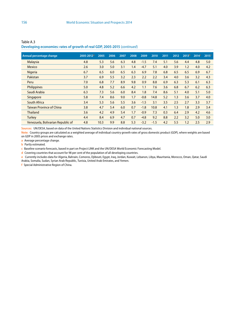| Annual percentage change          | 2005-2012 <sup>a</sup> | 2005 | 2006 | 2007 | 2008 | 2009   | 2010   | 2011 | 2012 | 2013 <sup>b</sup> | 2014 <sup>c</sup> | 2015 <sup>c</sup> |
|-----------------------------------|------------------------|------|------|------|------|--------|--------|------|------|-------------------|-------------------|-------------------|
| <b>Malaysia</b>                   | 4.8                    | 5.3  | 5.6  | 6.3  | 4.8  | $-1.5$ | 7.4    | 5.1  | 5.6  | 4.4               | 4.8               | 5.0               |
| <b>Mexico</b>                     | 2.6                    | 3.0  | 5.0  | 3.1  | 1.4  | $-4.7$ | 5.1    | 4.0  | 3.9  | 1.2               | 4.0               | 4.2               |
| <b>Nigeria</b>                    | 6.7                    | 6.5  | 6.0  | 6.5  | 6.3  | 6.9    | 7.8    | 6.8  | 6.5  | 6.5               | 6.9               | 6.7               |
| Pakistan                          | 3.7                    | 6.9  | 5.5  | 3.2  | 2.3  | 2.2    | 2.2    | 3.4  | 4.0  | 3.6               | 3.2               | 4.3               |
| Peru                              | 7.0                    | 6.8  | 7.7  | 8.9  | 9.8  | 0.9    | 8.8    | 6.9  | 6.3  | 5.3               | 6.1               | 6.3               |
| <b>Philippines</b>                | 5.0                    | 4.8  | 5.2  | 6.6  | 4.2  | 1.1    | 7.6    | 3.6  | 6.8  | 6.7               | 6.2               | 6.3               |
| Saudi Arabia                      | 6.3                    | 7.3  | 5.6  | 6.0  | 8.4  | 1.8    | 7.4    | 8.6  | 5.1  | 4.0               | 5.1               | 5.0               |
| Singapore                         | 5.8                    | 7.4  | 8.6  | 9.0  | 1.7  | $-0.8$ | 14.8   | 5.2  | 1.3  | 3.6               | 3.7               | 4.0               |
| <b>South Africa</b>               | 3.4                    | 5.3  | 5.6  | 5.5  | 3.6  | $-1.5$ | 3.1    | 3.5  | 2.5  | 2.7               | 3.3               | 3.7               |
| <b>Taiwan Province of China</b>   | 3.8                    | 4.7  | 5.4  | 6.0  | 0.7  | $-1.8$ | 10.8   | 4.1  | 1.3  | 1.8               | 2.9               | 3.4               |
| <b>Thailand</b>                   | 3.6                    | 4.2  | 4.9  | 5.4  | 1.7  | $-0.9$ | 7.3    | 0.3  | 6.4  | 2.9               | 4.2               | 4.6               |
| <b>Turkey</b>                     | 4.4                    | 8.4  | 6.9  | 4.7  | 0.7  | $-4.8$ | 9.2    | 8.8  | 2.2  | 3.2               | 5.0               | 3.0               |
| Venezuela, Bolivarian Republic of | 4.8                    | 10.3 | 9.9  | 8.8  | 5.3  | $-3.2$ | $-1.5$ | 4.2  | 5.5  | 1.2               | 2.5               | 2.9               |

Table A.3 **Developing economies: rates of growth of real GDP, 2005-2015** (*continued*)

**Sources:** UN/DESA, based on data of the United Nations Statistics Division and individual national sources.

**Note:** Country groups are calculated as a weighted average of individual country growth rates of gross domestic product (GDP), where weights are based on GDP in 2005 prices and exchange rates.

**a** Average percentage change.

**b** Partly estimated.

**c** Baseline scenario forecasts, based in part on Project LINK and the UN/DESA World Economic Forecasting Model.

**d** Covering countries that account for 98 per cent of the population of all developing countries.

**e** Currently includes data for Algeria, Bahrain, Comoros, Djibouti, Egypt, Iraq, Jordan, Kuwait, Lebanon, Libya, Mauritania, Morocco, Oman, Qatar, Saudi

Arabia, Somalia, Sudan, Syrian Arab Republic, Tunisia, United Arab Emirates, and Yemen.

**f** Special Administrative Region of China.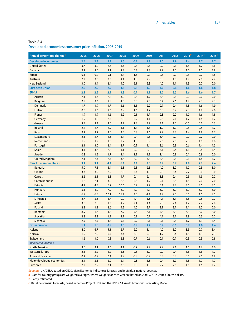**Developed economies: consumer price inflation, 2005-2015**

| Annual percentage change <sup>a</sup> | 2005   | 2006 | 2007 | 2008 | 2009   | 2010   | 2011   | 2012   | 2013 <sup>b</sup> | 2014 <sup>c</sup> | 2015 <sup>c</sup> |
|---------------------------------------|--------|------|------|------|--------|--------|--------|--------|-------------------|-------------------|-------------------|
| <b>Developed economies</b>            | 2.4    | 2.3  | 2.1  | 3.5  | $-0.1$ | 1.8    | 2.5    | 1.9    | 1.4               | 1.7               | 1.7               |
| <b>United States</b>                  | 3.7    | 3.2  | 2.6  | 4.3  | $-0.8$ | 2.5    | 2.9    | 2.1    | 1.5               | 1.7               | 1.6               |
| Canada                                | 2.2    | 2.0  | 2.1  | 2.4  | 0.3    | 1.8    | 2.9    | 1.5    | 1.0               | 1.5               | 1.8               |
| Japan                                 | $-0.3$ | 0.2  | 0.1  | 1.4  | $-1.3$ | $-0.7$ | $-0.3$ | 0.0    | 0.3               | 2.0               | 1.8               |
| Australia                             | 2.7    | 3.6  | 2.3  | 4.4  | 1.8    | 2.9    | 3.3    | 1.8    | 1.9               | 2.0               | 2.2               |
| <b>New Zealand</b>                    | 3.0    | 3.4  | 2.4  | 4.0  | 2.1    | 2.3    | 4.0    | 1.1    | 1.3               | 2.2               | 2.0               |
| <b>European Union</b>                 | 2.2    | 2.2  | 2.2  | 3.5  | 0.8    | 1.9    | 3.0    | 2.6    | 1.6               | 1.6               | 1.8               |
| <b>EU-15</b>                          | 2.1    | 2.2  | 2.1  | 3.3  | 0.7    | 1.9    | 3.0    | 2.5    | 1.6               | 1.6               | 1.7               |
| Austria                               | 2.1    | 1.7  | 2.2  | 3.2  | 0.4    | 1.7    | 3.5    | 2.6    | 2.0               | 2.0               | 2.0               |
| <b>Belgium</b>                        | 2.5    | 2.3  | 1.8  | 4.5  | 0.0    | 2.3    | 3.4    | 2.6    | 1.2               | 2.3               | 2.3               |
| <b>Denmark</b>                        | 1.7    | 1.9  | 1.7  | 3.6  | 1.1    | 2.2    | 2.7    | 2.4    | 1.3               | 1.6               | 1.9               |
| <b>Finland</b>                        | 0.8    | 1.3  | 1.6  | 3.9  | 1.6    | 1.7    | 3.3    | 3.2    | 2.3               | 1.9               | 2.0               |
| France                                | 1.9    | 1.9  | 1.6  | 3.2  | 0.1    | 1.7    | 2.3    | 2.2    | 1.0               | 1.6               | 1.8               |
| Germany                               | 1.9    | 1.8  | 2.3  | 2.8  | 0.2    | 1.1    | 2.5    | 2.1    | 1.7               | 1.6               | 1.7               |
| Greece                                | 3.5    | 3.3  | 3.0  | 4.2  | 1.4    | 4.7    | 3.1    | 1.0    | $-0.5$            | 0.1               | 0.3               |
| Ireland                               | 2.2    | 2.7  | 2.9  | 3.1  | $-1.7$ | $-1.6$ | 1.2    | 1.9    | 0.5               | 0.5               | 1.2               |
| Italy                                 | 2.2    | 2.2  | 2.0  | 3.5  | 0.8    | 1.6    | 2.9    | 3.3    | 1.4               | 1.8               | 1.7               |
| Luxembourg                            | 2.5    | 2.7  | 2.3  | 3.4  | 0.4    | 2.3    | 3.4    | 2.7    | 2.0               | 2.2               | 2.0               |
| <b>Netherlands</b>                    | 1.5    | 1.7  | 1.6  | 2.2  | 1.0    | 0.9    | 2.5    | 2.8    | 2.8               | 1.8               | 1.8               |
| Portugal                              | 2.1    | 3.0  | 2.4  | 2.7  | $-0.9$ | 1.4    | 3.6    | 2.8    | 0.6               | 1.4               | 1.5               |
| Spain                                 | 3.4    | 3.6  | 2.8  | 4.1  | $-0.2$ | 2.0    | 3.1    | 2.4    | 1.6               | 0.8               | 1.5               |
| Sweden                                | 0.8    | 1.5  | 1.7  | 3.4  | 1.9    | 1.9    | 1.4    | 0.9    | 0.1               | 0.8               | 2.0               |
| <b>United Kingdom</b>                 | 2.1    | 2.3  | 2.3  | 3.6  | 2.2    | 3.3    | 4.5    | 2.8    | 2.6               | 1.8               | 1.7               |
| <b>New EU member States</b>           | 3.4    | 3.1  | 4.1  | 6.1  | 3.1    | 2.8    | 3.7    | 3.7    | 1.8               | 2.2               | 2.4               |
| <b>Bulgaria</b>                       | 5.0    | 7.3  | 8.4  | 12.3 | 2.8    | 2.5    | 4.2    | 3.0    | 1.2               | 2.5               | 3.0               |
| Croatia                               | 3.3    | 3.2  | 2.9  | 6.0  | 2.4    | 1.0    | 2.3    | 3.4    | 2.7               | 3.0               | 3.0               |
| Cyprus                                | 2.6    | 2.5  | 2.3  | 4.7  | 0.4    | 2.4    | 3.3    | 2.4    | 0.5               | 1.9               | 2.2               |
| <b>Czech Republic</b>                 | 1.6    | 2.1  | 3.0  | 6.3  | 0.6    | 1.2    | 2.1    | 3.5    | 1.5               | 2.0               | 2.0               |
| Estonia                               | 4.1    | 4.5  | 6.7  | 10.6 | 0.2    | 2.7    | 5.1    | 4.2    | 3.5               | 3.5               | 3.5               |
| <b>Hungary</b>                        | 3.5    | 4.0  | 7.9  | 6.0  | 4.0    | 4.7    | 3.9    | 5.7    | 1.9               | 3.0               | 3.0               |
| Latvia                                | 6.7    | 6.5  | 10.1 | 15.4 | 3.5    | $-1.1$ | 4.4    | 2.5    | 0.5               | 1.5               | 2.5               |
| Lithuania                             | 2.7    | 3.8  | 5.7  | 10.9 | 4.4    | 1.3    | 4.1    | 3.1    | 1.5               | 2.5               | 2.7               |
| Malta                                 | 3.0    | 2.8  | 1.3  | 4.2  | 2.1    | 1.4    | 2.8    | 2.4    | 1.7               | 2.2               | 2.0               |
| Poland                                | 2.2    | 1.3  | 2.6  | 4.2  | 4.0    | 2.7    | 3.9    | 3.7    | 1.1               | 1.5               | 2.0               |
| Romania                               | 8.9    | 6.6  | 4.8  | 7.9  | 5.6    | 6.1    | 5.8    | 3.3    | 4.3               | 3.0               | 3.0               |
| Slovakia                              | 2.8    | 4.3  | 1.9  | 3.9  | 0.9    | 0.7    | 4.1    | 3.7    | 1.8               | 2.3               | 2.2               |
| Slovenia                              | 2.5    | 2.5  | 3.8  | 5.5  | 0.9    | 2.1    | 2.1    | 2.8    | 1.7               | 1.9               | 1.5               |
| <b>Other Europe</b>                   | 1.4    | 1.8  | 0.9  | 3.0  | 0.9    | 1.4    | 0.7    | $-0.1$ | 0.7               | 1.0               | 1.4               |
| <b>Iceland</b>                        | 4.0    | 6.7  | 5.1  | 12.7 | 12.0   | 5.4    | 4.0    | 5.2    | 3.5               | 2.7               | 3.4               |
| Norway                                | 1.5    | 2.5  | 0.7  | 3.4  | 2.3    | 2.3    | 1.2    | 0.4    | 1.8               | 1.9               | 2.1               |
| Switzerland                           | $1.2$  | 1.0  | 0.8  | 2.3  | $-0.7$ | 0.6    | 0.1    | $-0.7$ | $-0.3$            | 0.3               | 0.8               |
| Memorandum items                      |        |      |      |      |        |        |        |        |                   |                   |                   |
| <b>North America</b>                  | 3.6    | 3.1  | 2.6  | 4.1  | $-0.7$ | 2.4    | 2.9    | 2.1    | 1.5               | 1.7               | 1.6               |
| <b>Western Europe</b>                 | 2.1    | 2.2  | 2.2  | 3.5  | 0.8    | 1.9    | 2.9    | 2.4    | 1.6               | 1.6               | 1.7               |
| Asia and Oceania                      | 0.2    | 0.7  | 0.4  | 1.9  | $-0.8$ | $-0.2$ | 0.3    | 0.3    | 0.5               | 2.0               | 1.9               |
| Major developed economies             | 2.4    | 2.3  | 2.0  | 3.4  | $-0.3$ | 1.8    | 2.4    | 1.9    | 1.3               | 1.7               | 1.7               |
| Euro area                             | 2.2    | 2.2  | 2.1  | 3.3  | 0.3    | 1.5    | 2.7    | 2.5    | 1.5               | 1.6               | 1.7               |

**Sources:** UN/DESA, based on OECD, Main Economic Indicators; Eurostat; and individual national sources.

**a** Data for country groups are weighted averages, where weights for each year are based on 2005 GDP in United States dollars.

**b** Partly estimated.

**c** Baseline scenario forecasts, based in part on Project LINK and the UN/DESA World Economic Forecasting Model.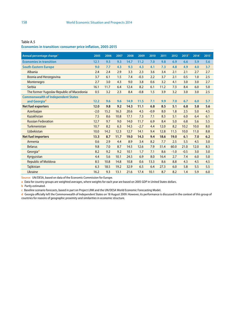| Annual percentage change <sup>a</sup>     | 2005   | 2006 | 2007 | 2008 | 2009   | 2010   | 2011 | 2012   | 2013 <sup>b</sup> | 2014 <sup>c</sup> | 2015 <sup>c</sup> |
|-------------------------------------------|--------|------|------|------|--------|--------|------|--------|-------------------|-------------------|-------------------|
| <b>Economies in transition</b>            | 12.1   | 9.5  | 9.3  | 14.7 | 11.2   | 7.0    | 9.8  | 6.9    | 6.6               | 5.9               | 5.6               |
| <b>South-Eastern Europe</b>               | 9.0    | 7.7  | 4.3  | 9.3  | 4.3    | 4.1    | 7.3  | 4.8    | 4.9               | 4.0               | 3.7               |
| Albania                                   | 2.4    | 2.4  | 2.9  | 3.3  | 2.3    | 3.6    | 3.4  | 2.1    | 2.1               | 2.7               | 2.7               |
| <b>Bosnia and Herzegovina</b>             | 3.7    | 6.1  | 1.5  | 7.4  | $-0.3$ | 2.2    | 3.7  | 2.1    | 0.5               | 1.0               | 2.5               |
| Montenegro                                | 2.7    | 3.0  | 4.3  | 9.0  | 3.8    | 0.6    | 3.2  | 4.1    | 3.0               | 3.0               | 2.7               |
| Serbia                                    | 16.1   | 11.7 | 6.4  | 12.4 | 8.2    | 6.1    | 11.2 | 7.3    | 8.4               | 6.0               | 5.0               |
| The former Yugoslav Republic of Macedonia | 0.5    | 3.2  | 2.3  | 8.4  | $-0.8$ | 1.5    | 3.9  | 3.2    | 3.0               | 3.0               | 2.5               |
| <b>Commonwealth of Independent States</b> |        |      |      |      |        |        |      |        |                   |                   |                   |
| and Georgia <sup>d</sup>                  | 12.2   | 9.6  | 9.6  | 14.9 | 11.5   | 7.1    | 9.9  | 7.0    | 6.7               | 6.0               | 5.7               |
| <b>Net fuel exporters</b>                 | 12.0   | 9.8  | 9.2  | 14.3 | 11.1   | 6.8    | 8.5  | 5.1    | 6.8               | 5.8               | 5.6               |
| Azerbaijan                                | $-2.0$ | 15.2 | 16.3 | 20.6 | 4.5    | $-0.9$ | 8.0  | 1.8    | 2.5               | 5.0               | 4.5               |
| Kazakhstan                                | 7.5    | 8.6  | 10.8 | 17.1 | 7.3    | 7.1    | 8.3  | 5.1    | 6.0               | 6.4               | 6.1               |
| <b>Russian Federation</b>                 | 12.7   | 9.7  | 9.0  | 14.0 | 11.7   | 6.9    | 8.4  | 5.0    | 6.8               | 5.6               | 5.5               |
| Turkmenistan                              | 10.7   | 8.2  | 6.3  | 14.5 | $-2.7$ | 4.4    | 12.0 | 8.2    | 10.2              | 10.0              | 8.0               |
| <b>Uzbekistan</b>                         | 10.0   | 14.2 | 12.3 | 12.7 | 14.1   | 9.4    | 12.8 | 11.5   | 10.0              | 11.0              | 8.8               |
| <b>Net fuel importers</b>                 | 13.3   | 8.7  | 11.7 | 19.0 | 14.3   | 9.4    | 18.6 | 19.0   | 6.1               | 7.0               | 6.2               |
| Armenia                                   | 0.6    | 2.9  | 4.4  | 8.9  | 3.4    | 8.2    | 7.7  | 2.5    | 5.5               | 4.5               | 3.0               |
| <b>Belarus</b>                            | 9.8    | 7.0  | 8.7  | 14.5 | 12.6   | 7.9    | 51.4 | 60.0   | 21.0              | 12.0              | 8.3               |
| Georgiad                                  | 8.2    | 9.2  | 9.2  | 10.1 | 1.7    | 7.1    | 8.6  | $-1.0$ | $-0.5$            | 3.0               | 3.0               |
| Kyrgyzstan                                | 4.4    | 5.6  | 10.1 | 24.5 | 6.9    | 8.0    | 16.4 | 2.7    | 7.4               | 6.0               | 5.0               |
| <b>Republic of Moldova</b>                | 8.5    | 10.8 | 14.8 | 10.8 | 0.6    | 13.3   | 8.6  | 8.8    | 4.3               | 4.5               | 4.5               |
| Tajikistan                                | 6.3    | 18.5 | 19.2 | 32.9 | 6.5    | 6.4    | 27.3 | 6.0    | 5.8               | 5.5               | 5.5               |
| <b>Ukraine</b>                            | 16.2   | 9.3  | 13.1 | 21.6 | 17.4   | 10.1   | 8.7  | 8.2    | 1.4               | 5.9               | 6.0               |

Table A.5 **Economies in transition: consumer price inflation, 2005-2015**

**Source:** UN/DESA, based on data of the Economic Commission for Europe.

**a** Data for country groups are weighted averages, where weights for each year are based on 2005 GDP in United States dollars.

**b** Partly estimated.

**c** Baseline scenario forecasts, based in part on Project LINK and the UN/DESA World Economic Forecasting Model.

**d** Georgia officially left the Commonwealth of Independent States on 18 August 2009. However, its performance is discussed in the context of this group of countries for reasons of geographic proximity and similarities in economic structure.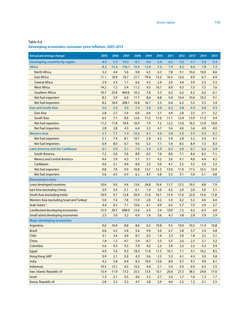| Annual percentage change <sup>a</sup>             | 2005 | 2006 | 2007  | 2008 | 2009   | 2010 | 2011 | 2012 | 2013 <sup>b</sup> | 2014 <sup>c</sup> | 2015 <sup>c</sup> |
|---------------------------------------------------|------|------|-------|------|--------|------|------|------|-------------------|-------------------|-------------------|
| <b>Developing countries by region</b>             | 4.9  | 5.3  | 19.2  | 8.1  | 4.6    | 5.4  | 6.3  | 5.5  | 5.7               | 5.6               | 5.3               |
| <b>Africa</b>                                     | 8.2  | 12.4 | 156.1 | 10.9 | 12.8   | 7.0  | 7.9  | 8.2  | 8.0               | 7.8               | 7.2               |
| <b>North Africa</b>                               | 3.2  | 4.4  | 5.6   | 9.8  | 6.5    | 6.3  | 7.8  | 9.1  | 10.6              | 10.0              | 8.6               |
| <b>East Africa</b>                                | 11.1 | 10.9 | 10.7  | 21.7 | 79.4   | 13.2 | 16.5 | 12.6 | 6.9               | 6.7               | 6.9               |
| <b>Central Africa</b>                             | 3.9  | 4.3  | 1.1   | 6.6  | 4.3    | 2.4  | 2.0  | 4.4  | 3.9               | 3.3               | 3.3               |
| <b>West Africa</b>                                | 14.2 | 7.3  | 5.4   | 11.2 | 9.3    | 10.1 | 8.9  | 9.3  | 7.3               | 7.5               | 7.6               |
| <b>Southern Africa</b>                            | 10.7 | 25.8 | 469.6 | 10.2 | 7.8    | 5.3  | 6.2  | 6.2  | 6.2               | 6.2               | 6.1               |
| Net fuel exporters                                | 8.3  | 5.9  | 6.0   | 11.1 | 8.6    | 8.8  | 9.4  | 10.4 | 10.6              | 10.2              | 9.1               |
| Net fuel importers                                | 8.2  | 18.4 | 298.1 | 10.8 | 16.7   | 5.3  | 6.4  | 6.2  | 5.5               | 5.5               | 5.4               |
| <b>East and South Asia</b>                        | 3.6  | 3.6  | 4.9   | 7.4  | 2.8    | 4.9  | 6.2  | 4.8  | 4.9               | 4.8               | 4.5               |
| <b>East Asia</b>                                  | 2.8  | 2.7  | 3.9   | 6.0  | 0.6    | 3.1  | 4.9  | 2.8  | 2.5               | 3.1               | 3.2               |
| <b>South Asia</b>                                 | 6.5  | 7.1  | 8.6   | 12.6 | 11.2   | 11.6 | 11.1 | 12.4 | 13.9              | 11.3              | 9.4               |
| <b>Net fuel exporters</b>                         | 11.2 | 11.8 | 10.4  | 16.9 | 7.9    | 7.2  | 12.2 | 13.0 | 18.2              | 12.9              | 10.0              |
| Net fuel importers                                | 2.8  | 2.8  | 4.3   | 6.4  | 2.3    | 4.7  | 5.6  | 4.0  | 3.6               | 4.0               | 4.0               |
| <b>Western Asia</b>                               | 5.7  | 7.7  | 7.4   | 10.2 | 4.1    | 5.6  | 5.9  | 5.5  | 5.7               | 5.3               | 6.1               |
| Net fuel exporters                                | 5.1  | 7.4  | 8.1   | 10.7 | 2.9    | 4.2  | 5.9  | 2.8  | 3.2               | 3.4               | 4.1               |
| Net fuel importers                                | 6.4  | 8.0  | 6.7   | 9.6  | 5.3    | 7.1  | 5.9  | 8.5  | 8.4               | 7.3               | 8.3               |
| <b>Latin America and the Caribbean</b>            | 6.1  | 5.0  | 5.1   | 7.6  | 5.9    | 5.9  | 6.3  | 5.9  | 6.7               | 6.6               | 5.9               |
| <b>South America</b>                              | 7.2  | 5.6  | 5.6   | 8.6  | 6.5    | 7.0  | 8.0  | 7.1  | 8.4               | 8.2               | 7.1               |
| <b>Mexico and Central America</b>                 | 4.4  | 3.9  | 4.3   | 5.7  | 5.1    | 4.2  | 3.6  | 4.1  | 4.0               | 4.4               | 4.2               |
| Caribbean                                         | 4.6  | 5.1  | 4.4   | 8.0  | 2.5    | 5.0  | 4.7  | 3.5  | 3.5               | 2.9               | 3.2               |
| Net fuel exporters                                | 9.8  | 7.8  | 9.9   | 16.8 | 13.7   | 13.3 | 13.0 | 11.0 | 17.5              | 16.5              | 13.4              |
| Net fuel importers                                | 5.6  | 4.5  | 4.3   | 6.1  | 4.7    | 4.8  | 5.3  | 5.1  | 5.0               | 5.1               | 4.8               |
| Memorandum items                                  |      |      |       |      |        |      |      |      |                   |                   |                   |
| Least developed countries                         | 10.6 | 9.0  | 9.4   | 13.6 | 24.8   | 10.4 | 11.7 | 12.5 | 10.3              | 8.8               | 7.9               |
| <b>East Asia (excluding China)</b>                | 3.9  | 3.9  | 3.1   | 6.1  | 1.9    | 3.0  | 4.3  | 2.9  | 2.6               | 3.0               | 3.1               |
| South Asia (excluding India)                      | 10.9 | 9.7  | 12.8  | 20.9 | 11.6   | 10.7 | 15.4 | 17.6 | 22.0              | 15.6              | 11.8              |
| <b>Western Asia (excluding Israel and Turkey)</b> | 5.0  | 7.4  | 7.8   | 11.0 | 2.8    | 4.2  | 5.9  | 4.2  | 5.3               | 4.0               | 4.4               |
| Arab States <sup>d</sup>                          | 4.4  | 6.5  | 7.1   | 10.6 | 4.1    | 4.9  | 6.5  | 5.7  | 7.0               | 5.9               | 5.7               |
| Landlocked developing economies                   | 15.9 | 39.5 | 698.0 | 15.6 | 6.5    | 5.4  | 10.0 | 7.2  | 6.3               | 6.5               | 6.0               |
| Small island developing economies                 | 2.5  | 3.0  | 3.2   | 6.9  | 1.6    | 3.6  | 4.7  | 3.8  | 2.8               | 2.9               | 2.9               |
| <b>Major developing economies</b>                 |      |      |       |      |        |      |      |      |                   |                   |                   |
| Argentina                                         | 9.6  | 10.9 | 8.8   | 8.6  | 6.3    | 10.8 | 9.5  | 10.0 | 10.5              | 11.4              | 10.8              |
| <b>Brazil</b>                                     | 6.8  | 4.2  | 3.6   | 5.6  | 4.9    | 5.0  | 6.7  | 5.8  | 5.7               | 5.4               | 4.8               |
| Chile                                             | 3.1  | 3.4  | 4.4   | 8.7  | 0.3    | 1.4  | 3.3  | 3.0  | 1.8               | 2.5               | 3.1               |
| China                                             | 1.8  | 1.5  | 4.7   | 5.9  | $-0.7$ | 3.3  | 5.5  | 2.6  | 2.5               | 3.1               | 3.3               |
| Colombia                                          | 5.0  | 4.3  | 5.5   | 7.0  | 4.2    | 2.3  | 3.4  | 3.2  | 2.5               | 4.3               | 3.9               |
| Egypt                                             | 4.9  | 7.6  | 9.3   | 18.3 | 11.8   | 11.3 | 10.1 | 7.1  | 9.1               | 10.2              | 8.5               |
| Hong Kong SAR <sup>e</sup>                        | 0.9  | 2.1  | 2.0   | 4.3  | 0.6    | 2.3  | 5.3  | 4.1  | 4.3               | 3.9               | 3.8               |
| India                                             | 4.2  | 5.8  | 6.4   | 8.3  | 10.9   | 12.0 | 8.9  | 9.7  | 9.7               | 9.0               | 8.1               |
| Indonesia                                         | 10.5 | 13.1 | 6.5   | 10.2 | 4.4    | 5.1  | 5.4  | 4.3  | 6.9               | 6.3               | 5.5               |
| Iran, Islamic Republic of                         | 13.4 | 11.9 | 17.2  | 25.5 | 13.5   | 10.1 | 20.6 | 27.3 | 38.5              | 24.8              | 17.6              |
| Israel                                            | 1.3  | 2.1  | 0.5   | 4.6  | 3.3    | 2.7  | 3.5  | 1.7  | 1.6               | 1.3               | 1.7               |
| Korea, Republic of                                | 2.8  | 2.2  | 2.5   | 4.7  | 2.8    | 2.9  | 4.0  | 2.2  | 1.3               | 2.1               | 2.5               |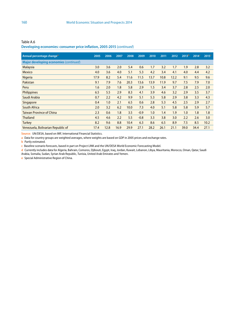Table A.6 **Developing economies: consumer price inflation, 2005-2015** (*continued*)

| Annual percentage change <sup>a</sup>  | 2005 | 2006 | 2007 | 2008 | 2009   | 2010 | 2011 | 2012 | 2013 <sup>b</sup> | 2014 <sup>c</sup> | 2015 <sup>c</sup> |
|----------------------------------------|------|------|------|------|--------|------|------|------|-------------------|-------------------|-------------------|
| Major developing economies (continued) |      |      |      |      |        |      |      |      |                   |                   |                   |
| <b>Malaysia</b>                        | 3.0  | 3.6  | 2.0  | 5.4  | 0.6    | 1.7  | 3.2  | 1.7  | 1.9               | 2.8               | 3.2               |
| <b>Mexico</b>                          | 4.0  | 3.6  | 4.0  | 5.1  | 5.3    | 4.2  | 3.4  | 4.1  | 4.0               | 4.4               | 4.2               |
| Nigeria                                | 17.9 | 8.2  | 5.4  | 11.6 | 11.5   | 13.7 | 10.8 | 12.2 | 9.1               | 9.5               | 9.6               |
| Pakistan                               | 9.1  | 7.9  | 7.6  | 20.3 | 13.6   | 13.9 | 11.9 | 9.7  | 7.5               | 7.9               | 7.0               |
| Peru                                   | 1.6  | 2.0  | 1.8  | 5.8  | 2.9    | 1.5  | 3.4  | 3.7  | 2.8               | 2.5               | 2.0               |
| Philippines                            | 6.5  | 5.5  | 2.9  | 8.3  | 4.1    | 3.9  | 4.6  | 3.2  | 2.9               | 3.5               | 3.7               |
| Saudi Arabia                           | 0.7  | 2.2  | 4.2  | 9.9  | 5.1    | 5.3  | 5.8  | 2.9  | 3.8               | 3.3               | 4.3               |
| Singapore                              | 0.4  | 1.0  | 2.1  | 6.5  | 0.6    | 2.8  | 5.3  | 4.5  | 2.5               | 2.9               | 2.7               |
| South Africa                           | 2.0  | 3.2  | 6.2  | 10.0 | 7.3    | 4.0  | 5.1  | 5.8  | 5.8               | 5.9               | 5.7               |
| <b>Taiwan Province of China</b>        | 2.3  | 0.6  | 1.8  | 3.5  | $-0.9$ | 1.0  | 1.4  | 1.9  | 1.0               | 1.8               | 1.8               |
| <b>Thailand</b>                        | 4.5  | 4.6  | 2.2  | 5.5  | $-0.8$ | 3.3  | 3.8  | 3.0  | 2.2               | 2.6               | 3.0               |
| <b>Turkey</b>                          | 8.2  | 9.6  | 8.8  | 10.4 | 6.3    | 8.6  | 6.5  | 8.9  | 7.5               | 8.5               | 10.2              |
| Venezuela, Bolivarian Republic of      | 17.4 | 12.8 | 16.9 | 29.9 | 27.1   | 28.2 | 26.1 | 21.1 | 39.0              | 34.4              | 27.1              |

**Source:** UN/DESA, based on IMF, International Financial Statistics.

**a** Data for country groups are weighted averages, where weights are based on GDP in 2005 prices and exchange rates.

**b** Partly estimated.

**c** Baseline scenario forecasts, based in part on Project LINK and the UN/DESA World Economic Forecasting Model.

**d** Currently includes data for Algeria, Bahrain, Comoros, Djibouti, Egypt, Iraq, Jordan, Kuwait, Lebanon, Libya, Mauritania, Morocco, Oman, Qatar, Saudi Arabia, Somalia, Sudan, Syrian Arab Republic, Tunisia, United Arab Emirates and Yemen.

**e** Special Administrative Region of China.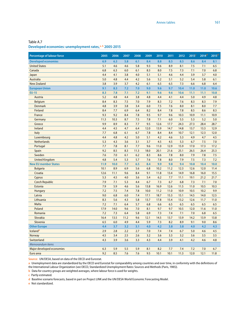### Table A.7 **Developed economies: unemployment rates,a, b 2005-2015**

| <b>Percentage of labour force</b> | 2005 | 2006 | 2007 | 2008 | 2009 | 2010 | 2011 | 2012 | 2013 <sup>o</sup> | 2014 <sup>d</sup> | 2015 <sup>d</sup> |
|-----------------------------------|------|------|------|------|------|------|------|------|-------------------|-------------------|-------------------|
| <b>Developed economies</b>        | 6.9  | 6.3  | 5.8  | 6.1  | 8.4  | 8.8  | 8.5  | 8.5  | 8.6               | 8.4               | 8.1               |
| <b>United States</b>              | 5.1  | 4.6  | 4.6  | 5.8  | 9.3  | 9.6  | 8.9  | 8.1  | 7.5               | 7.1               | 6.5               |
| Canada                            | 6.8  | 6.3  | 6.0  | 6.1  | 8.3  | 8.0  | 7.5  | 7.3  | 7.1               | 7.0               | 6.8               |
| Japan                             | 4.4  | 4.1  | 3.8  | 4.0  | 5.1  | 5.1  | 4.6  | 4.4  | 3.9               | 3.7               | 4.0               |
| <b>Australia</b>                  | 5.0  | 4.8  | 4.4  | 4.2  | 5.6  | 5.2  | 5.1  | 5.2  | 5.4               | 5.8               | 6.1               |
| <b>New Zealand</b>                | 3.8  | 3.9  | 3.7  | 4.2  | 6.1  | 6.5  | 6.5  | 7.3  | 6.6               | 6.8               | 6.4               |
| <b>European Union</b>             | 9.1  | 8.3  | 7.2  | 7.0  | 9.0  | 9.6  | 9.7  | 10.4 | 11.0              | 11.0              | 10.6              |
| <b>EU-15</b>                      | 8.3  | 7.8  | 7.1  | 7.2  | 9.1  | 9.6  | 9.6  | 10.6 | 11.1              | 11.1              | 10.8              |
| Austria                           | 5.2  | 4.8  | 4.4  | 3.8  | 4.8  | 4.4  | 4.1  | 4.4  | 5.0               | 4.9               | 4.8               |
| <b>Belgium</b>                    | 8.4  | 8.3  | 7.5  | 7.0  | 7.9  | 8.3  | 7.2  | 7.6  | 8.3               | 8.3               | 7.9               |
| <b>Denmark</b>                    | 4.8  | 3.9  | 3.8  | 3.4  | 6.0  | 7.5  | 7.6  | 8.0  | 8.1               | 8.0               | 7.7               |
| Finland                           | 8.4  | 7.7  | 6.9  | 6.4  | 8.2  | 8.4  | 7.8  | 7.8  | 8.5               | 8.6               | 8.3               |
| France                            | 9.3  | 9.2  | 8.4  | 7.8  | 9.5  | 9.7  | 9.6  | 10.3 | 10.9              | 11.1              | 10.9              |
| Germany                           | 11.3 | 10.3 | 8.7  | 7.5  | 7.8  | 7.1  | 6.0  | 5.5  | 5.3               | 5.2               | 5.0               |
| Greece                            | 9.9  | 8.9  | 8.3  | 7.7  | 9.5  | 12.6 | 17.7 | 24.3 | 27.3              | 28.4              | 28.7              |
| Ireland                           | 4.4  | 4.5  | 4.7  | 6.4  | 12.0 | 13.9 | 14.7 | 14.8 | 13.7              | 13.3              | 12.9              |
| Italy                             | 7.7  | 6.8  | 6.1  | 6.7  | 7.8  | 8.4  | 8.4  | 10.7 | 12.1              | 12.3              | 12.0              |
| Luxembourg                        | 4.4  | 4.8  | 4.2  | 5.0  | 5.1  | 4.2  | 4.6  | 5.3  | 4.9               | 4.7               | 4.5               |
| <b>Netherlands</b>                | 5.3  | 4.3  | 3.6  | 3.1  | 3.7  | 4.5  | 4.5  | 5.3  | 6.7               | 7.5               | 7.0               |
| Portugal                          | 7.7  | 7.8  | 8.1  | 7.7  | 9.6  | 11.0 | 12.9 | 15.9 | 17.0              | 17.3              | 17.2              |
| Spain                             | 9.2  | 8.5  | 8.3  | 11.3 | 18.0 | 20.1 | 21.6 | 25.1 | 26.5              | 26.4              | 25.3              |
| Sweden                            | 7.6  | 7.0  | 6.1  | 6.2  | 8.3  | 8.6  | 7.8  | 8.0  | 7.9               | 7.8               | 7.5               |
| <b>United Kingdom</b>             | 4.8  | 5.4  | 5.3  | 5.7  | 7.6  | 7.8  | 8.0  | 7.9  | 7.5               | 7.3               | 7.2               |
| <b>New EU member States</b>       | 11.9 | 10.0 | 7.7  | 6.5  | 8.4  | 9.9  | 9.8  | 9.4  | 10.8              | 10.4              | 10.0              |
| <b>Bulgaria</b>                   | 10.1 | 8.9  | 6.9  | 5.6  | 6.8  | 10.2 | 11.2 | 12.3 | 12.6              | 12.0              | 11.4              |
| Croatia                           | 12.6 | 11.1 | 9.6  | 8.4  | 9.1  | 11.8 | 13.4 | 14.9 | 16.8              | 16.0              | 15.5              |
| Cyprus                            | 5.3  | 4.5  | 4.0  | 3.6  | 5.4  | 6.2  | 7.7  | 11.1 | 19.1              | 21.2              | 21.7              |
| <b>Czech Republic</b>             | 7.9  | 7.1  | 5.3  | 4.4  | 6.7  | 7.3  | 6.7  | 6.8  | 7.3               | 7.1               | 7.0               |
| Estonia                           | 7.9  | 5.9  | 4.6  | 5.6  | 13.8 | 16.9 | 12.6 | 11.5 | 11.0              | 10.5              | 10.3              |
| Hungary                           | 7.2  | 7.5  | 7.4  | 7.8  | 10.0 | 11.2 | 11.0 | 10.9 | 10.5              | 10.2              | 9.9               |
| Latvia                            | 9.0  | 6.8  | 6.0  | 7.4  | 17.1 | 18.7 | 15.3 | 15.1 | 14.5              | 14.0              | 12.5              |
| Lithuania                         | 8.3  | 5.6  | 4.3  | 5.8  | 13.7 | 17.8 | 15.4 | 13.2 | 12.6              | 11.7              | 11.0              |
| Malta                             | 7.2  | 7.1  | 6.4  | 5.7  | 6.8  | 6.6  | 6.5  | 6.5  | 6.5               | 6.5               | 6.5               |
| Poland                            | 17.9 | 14.0 | 9.6  | 7.0  | 8.1  | 9.7  | 9.7  | 10.5 | 12.0              | 11.6              | 11.0              |
| Romania                           | 7.2  | 7.3  | 6.4  | 5.8  | 6.9  | 7.3  | 7.4  | 7.1  | 7.0               | 6.8               | 6.5               |
| Slovakia                          | 16.4 | 13.5 | 11.2 | 9.6  | 12.1 | 14.5 | 13.7 | 13.9 | 14.2              | 13.9              | 13.8              |
| Slovenia                          | 6.5  | 6.0  | 4.9  | 4.4  | 5.9  | 7.3  | 8.2  | 8.9  | 9.1               | 9.0               | 8.6               |
| <b>Other Europe</b>               | 4.4  | 3.7  | 3.2  | 3.1  | 4.0  | 4.2  | 3.8  | 3.8  | 4.0               | 4.2               | 4.3               |
| Icelande                          | 2.9  | 2.8  | 2.2  | 2.7  | 7.0  | 7.4  | 7.4  | 6.7  | 5.0               | 4.6               | 4.5               |
| Norway                            | 4.5  | 3.4  | 2.5  | 2.6  | 3.2  | 3.6  | 3.3  | 3.2  | 3.6               | 3.5               | 3.5               |
| Switzerland                       | 4.3  | 3.9  | 3.6  | 3.3  | 4.3  | 4.4  | 3.9  | 4.1  | 4.2               | 4.6               | 4.8               |
| Memorandum items                  |      |      |      |      |      |      |      |      |                   |                   |                   |
| Major developed economies         | 6.3  | 5.9  | 5.5  | 5.9  | 8.1  | 8.2  | 7.7  | 7.4  | 7.2               | 7.0               | 6.7               |
| Euro area                         | 9.2  | 8.5  | 7.6  | 7.6  | 9.5  | 10.1 | 10.1 | 11.3 | 12.0              | 12.1              | 11.8              |

**Source:** UN/DESA, based on data of the OECD and Eurostat.

**a** Unemployment data are standardized by the OECD and Eurostat for comparability among countries and over time, in conformity with the definitions of the International Labour Organization (see OECD, Standardized Unemployment Rates: Sources and Methods (Paris, 1985)).

**b** Data for country groups are weighted averages, where labour force is used for weights.

**c** Partly estimated.

**d** Baseline scenario forecasts, based in part on Project LINK and the UN/DESA World Economic Forecasting Model.

**e** Not standardized.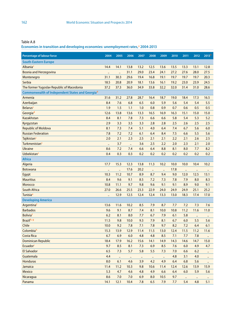# **Economies in transition and developing economies: unemployment rates,a 2004-2013**

| <b>Percentage of labour force</b>               | 2004      | 2005      | 2006      | 2007      | 2008      | 2009      | 2010 | 2011 | 2012      | 2013 <sup>b</sup> |
|-------------------------------------------------|-----------|-----------|-----------|-----------|-----------|-----------|------|------|-----------|-------------------|
| <b>South-Eastern Europe</b>                     |           |           |           |           |           |           |      |      |           |                   |
| Albaniac                                        | 14.4      | 14.1      | 13.8      | 13.2      | 12.5      | 13.6      | 13.5 | 13.3 | 13.1      | 12.8              |
| <b>Bosnia and Herzegovina</b>                   | $\ddotsc$ | $\ddotsc$ | 31.1      | 29.0      | 23.4      | 24.1      | 27.2 | 27.6 | 28.0      | 27.5              |
| Montenegro                                      | 31.1      | 30.3      | 29.6      | 19.4      | 16.8      | 19.1      | 19.7 | 19.7 | 19.7      | 20.3              |
| Serbia                                          | 18.5      | 20.8      | 20.9      | 18.1      | 13.6      | 16.1      | 19.2 | 23.0 | 23.9      | 24.5              |
| The former Yugoslav Republic of Macedonia       | 37.2      | 37.3      | 36.0      | 34.9      | 33.8      | 32.2      | 32.0 | 31.4 | 31.0      | 28.6              |
| Commonwealth of Independent States and Georgiad |           |           |           |           |           |           |      |      |           |                   |
| Armenia                                         | 31.6      | 31.2      | 27.8      | 28.7      | 16.4      | 18.7      | 19.0 | 18.4 | 17.3      | 16.5              |
| Azerbaijan                                      | 8.4       | 7.6       | 6.8       | 6.5       | 6.0       | 5.9       | 5.6  | 5.4  | 5.4       | 5.5               |
| <b>Belarus</b>                                  | 1.9       | 1.5       | 1.1       | 1.0       | 0.8       | 0.9       | 0.7  | 0.6  | 0.5       | 0.5               |
| Georgiad                                        | 12.6      | 13.8      | 13.6      | 13.3      | 16.5      | 16.9      | 16.3 | 15.1 | 15.0      | 15.0              |
| Kazakhstan                                      | 8.4       | 8.1       | 7.8       | 7.3       | 6.6       | 6.6       | 5.8  | 5.4  | 5.3       | 5.2               |
| Kyrgyzstan                                      | 2.9       | 3.3       | 3.5       | 3.3       | 2.8       | 2.8       | 2.5  | 2.6  | 2.5       | 2.5               |
| <b>Republic of Moldova</b>                      | 8.1       | 7.3       | 7.4       | 5.1       | 4.0       | 6.4       | 7.4  | 6.7  | 5.6       | 6.0               |
| <b>Russian Federation</b>                       | 7.8       | 7.2       | 7.2       | 6.1       | 6.4       | 8.4       | 7.5  | 6.6  | 5.5       | 5.6               |
| Tajikistan <sup>c</sup>                         | 2.0       | 2.1       | 2.3       | 2.5       | 2.1       | 2.1       | 2.2  | 2.1  | 2.6       | 2.5               |
| Turkmenistan <sup>c</sup>                       |           | 3.7       |           | 3.6       | 2.5       | 2.2       | 2.0  | 2.3  | 2.1       | 2.0               |
| <b>Ukraine</b>                                  | 8.6       | 7.2       | 7.4       | 6.6       | 6.4       | 8.8       | 8.1  | 8.0  | 7.7       | 8.2               |
| Uzbekistan <sup>c</sup>                         | 0.4       | 0.3       | 0.3       | 0.2       | 0.2       | 0.2       | 0.2  | 0.2  | 0.2       | 0.2               |
| <b>Africa</b>                                   |           |           |           |           |           |           |      |      |           |                   |
| Algeria                                         | 17.7      | 15.3      | 12.3      | 13.8      | 11.3      | 10.2      | 10.0 | 10.0 | 10.4      | 10.2              |
| <b>Botswana</b>                                 | $\ddotsc$ | $\ddotsc$ | 17.6      | 20.2      | $\ddotsc$ | $\ddotsc$ | 17.8 |      | $\ddotsc$ | $\bullet\bullet$  |
| Egypt                                           | 10.3      | 11.2      | 10.7      | 8.9       | 8.7       | 9.4       | 9.0  | 12.0 | 12.5      | 13.1              |
| <b>Mauritius</b>                                | 8.4       | 9.6       | 9.1       | 8.5       | 7.2       | 7.3       | 7.8  | 7.9  | 8.0       | 8.3               |
| Morocco                                         | 10.8      | 11.1      | 9.7       | 9.8       | 9.6       | 9.1       | 9.1  | 8.9  | 9.0       | 9.1               |
| <b>South Africa</b>                             | 27.0      | 26.6      | 25.5      | 23.3      | 22.9      | 24.0      | 24.9 | 24.9 | 25.1      | 25.2              |
| Tunisia <sup>e</sup>                            |           | 12.9      | 12.5      | 12.4      | 12.4      | 13.3      | 13.0 | 18.3 | 17.4      | 17.0              |
| <b>Developing America</b>                       |           |           |           |           |           |           |      |      |           |                   |
| Argentinaf                                      | 13.6      | 11.6      | 10.2      | 8.5       | 7.9       | 8.7       | 7.7  | 7.2  | 7.3       | 7.6               |
| <b>Barbados</b>                                 | 9.6       | 9.1       | 8.7       | 7.4       | 8.1       | 10.0      | 10.8 | 11.2 | 11.6      | 11.0              |
| Boliviaf                                        | 6.2       | 8.1       | 8.0       | 7.7       | 6.7       | 7.9       | 6.1  | 5.8  | $\ldots$  |                   |
| Brazilh, g                                      | 11.5      | 9.8       | 10.0      | 9.3       | 7.9       | 8.1       | 6.7  | 6.0  | 5.5       | 5.6               |
| Chile                                           | 10.0      | 9.2       | 7.8       | 7.1       | 7.8       | 9.7       | 8.2  | 7.2  | 6.4       | 6.1               |
| Colombiah                                       | 15.3      | 13.9      | 12.9      | 11.4      | 11.5      | 13.0      | 12.4 | 11.5 | 11.2      | 11.6              |
| <b>Costa Rica</b>                               | 6.7       | 6.9       | 6.0       | 4.8       | 4.8       | 8.5       | 7.1  | 7.7  | 7.8       | $\ddotsc$         |
| <b>Dominican Republic</b>                       | 18.4      | 17.9      | 16.2      | 15.6      | 14.1      | 14.9      | 14.3 | 14.6 | 14.7      | 15.0              |
| <b>Ecuador</b> <sup>i</sup>                     | 9.7       | 8.5       | 8.1       | 7.3       | 6.9       | 8.5       | 7.6  | 6.0  | 4.9       | 4.7               |
| <b>El Salvador</b>                              | 6.5       | 7.3       | 5.7       | 5.8       | 5.5       | 7.3       | 7.0  | 6.6  | 6.2       | $\ddotsc$         |
| Guatemala                                       | 4.4       | $\ldots$  | $\ddotsc$ | $\ddotsc$ | $\ldots$  | $\ddotsc$ | 4.8  | 3.1  | 4.0       | $\ldots$          |
| <b>Honduras</b>                                 | 8.0       | 6.1       | 4.6       | 3.9       | 4.2       | 4.9       | 6.4  | 6.8  | 5.6       | $\ddotsc$         |
| Jamaica                                         | 11.4      | 11.2      | 10.3      | 9.8       | 10.6      | 11.4      | 12.4 | 12.6 | 13.9      | 15.9              |
| Mexico                                          | 5.3       | 4.7       | 4.6       | 4.8       | 4.9       | 6.6       | 6.4  | 6.0  | 5.9       | 5.6               |
| Nicaragua                                       | 8.6       | 7.0       | 7.0       | 6.9       | 8.0       | 10.5      | 9.7  |      | $\ddotsc$ |                   |
| Panama                                          | 14.1      | 12.1      | 10.4      | 7.8       | 6.5       | 7.9       | 7.7  | 5.4  | 4.8       | 5.1               |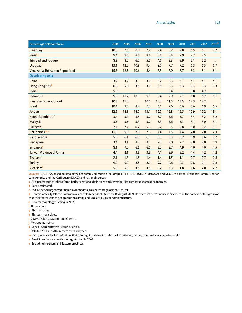| <b>Percentage of labour force</b> | 2004 | 2005 | 2006                 | 2007      | 2008      | 2009 | 2010 | 2011 | 2012 | 2013 <sup>b</sup> |
|-----------------------------------|------|------|----------------------|-----------|-----------|------|------|------|------|-------------------|
| Paraguay <sup>t</sup>             | 10.0 | 7.6  | 8.9                  | 7.2       | 7.4       | 8.2  | 7.0  | 6.5  | 6.1  | 8.2               |
| Peruf, j                          | 9.4  | 9.6  | 8.5                  | 8.4       | 8.4       | 8.4  | 7.9  | 7.7  | 7.5  |                   |
| <b>Trinidad and Tobago</b>        | 8.3  | 8.0  | 6.2                  | 5.5       | 4.6       | 5.3  | 5.9  | 5.1  | 5.2  | $\ddotsc$         |
| Uruguay <sup>f</sup>              | 13.1 | 12.2 | 10.8                 | 9.4       | 8.0       | 7.7  | 7.2  | 6.3  | 6.5  | 6.7               |
| Venezuela, Bolivarian Republic of | 15.3 | 12.3 | 10.6                 | 8.4       | 7.3       | 7.9  | 8.7  | 8.3  | 8.1  | 8.1               |
| <b>Developing Asia</b>            |      |      |                      |           |           |      |      |      |      |                   |
| China                             | 4.2  | 4.2  | 4.1                  | 4.0       | 4.2       | 4.3  | 4.1  | 4.1  | 4.1  | 4.1               |
| Hong Kong SAR <sup>k</sup>        | 6.8  | 5.6  | 4.8                  | 4.0       | 3.5       | 5.3  | 4.3  | 3.4  | 3.3  | 3.4               |
| India                             | 5.0  |      |                      | $\ddotsc$ | $\ddotsc$ | 9.4  |      | 3.8  | 4.7  | $\ddotsc$         |
| Indonesia                         | 9.9  | 11.2 | 10.3                 | 9.1       | 8.4       | 7.9  | 7.1  | 6.8  | 6.2  | 6.1               |
| Iran, Islamic Republic of         | 10.3 | 11.5 | $\ddot{\phantom{a}}$ | 10.5      | 10.3      | 11.5 | 13.5 | 12.3 | 12.2 | $\ddotsc$         |
| <b>Israel</b>                     | 10.4 | 9.0  | 8.4                  | 7.3       | 6.1       | 7.6  | 6.6  | 5.6  | 6.9  | 6.5               |
| Jordan                            | 12.5 | 14.8 | 14.0                 | 13.1      | 12.7      | 12.8 | 12.5 | 12.9 | 12.2 | 13.1              |
| Korea, Republic of                | 3.7  | 3.7  | 3.5                  | 3.2       | 3.2       | 3.6  | 3.7  | 3.4  | 3.2  | 3.2               |
| <b>Malaysia</b>                   | 3.5  | 3.5  | 3.3                  | 3.2       | 3.3       | 3.6  | 3.3  | 3.1  | 3.0  | 3.1               |
| Pakistan                          | 7.7  | 7.7  | 6.2                  | 5.3       | 5.2       | 5.5  | 5.8  | 6.0  | 6.2  | 6.1               |
| Philippines <sup>m, n</sup>       | 11.8 | 9.8  | 7.9                  | 7.3       | 7.4       | 7.5  | 7.4  | 7.0  | 7.0  | 7.3               |
| Saudi Arabia                      | 5.8  | 6.1  | 6.3                  | 6.1       | 6.3       | 6.3  | 6.2  | 5.9  | 5.6  | 5.7               |
| Singapore                         | 3.4  | 3.1  | 2.7                  | 2.1       | 2.2       | 3.0  | 2.2  | 2.0  | 2.0  | 1.9               |
| Sri Lanka <sup>o</sup>            | 8.1  | 7.2  | 6.5                  | 6.0       | 5.2       | 5.7  | 4.9  | 4.0  | 4.0  | 4.5               |
| <b>Taiwan Province of China</b>   | 4.4  | 4.1  | 3.9                  | 3.9       | 4.1       | 5.9  | 5.2  | 4.4  | 4.2  | 4.2               |
| <b>Thailand</b>                   | 2.1  | 1.8  | 1.5                  | 1.4       | 1.4       | 1.5  | 1.1  | 0.7  | 0.7  | 0.8               |
| <b>Turkey</b>                     | 9.0  | 9.2  | 8.8                  | 8.9       | 9.7       | 12.6 | 10.7 | 9.8  | 9.1  | 9.8               |
| Viet Nam <sup>f</sup>             | 5.6  | 5.3  | 4.8                  | 4.6       | 4.7       | 3.3  | 1.8  | 1.6  | 2.0  | 2.2               |

**Sources:** UN/DESA, based on data of the Economic Commission for Europe (ECE); ILO LABORSTAT database and KILM 7th edition; Economic Commission for Latin America and the Caribbean (ECLAC); and national sources.

**a** As a percentage of labour force. Reflects national definitions and coverage. Not comparable across economies.

**b** Partly estimated.

**c** End-of-period registered unemployment data (as a percentage of labour force).

**d** Georgia officially left the Commonwealth of Independent States on 18 August 2009. However, its performance is discussed in the context of this group of countries for reasons of geographic proximity and similarities in economic structure.

**e** New methodology starting in 2005.

**f** Urban areas.

- **g** Six main cities.
- **h** Thirteen main cities.

**i** Covers Quito, Guayaquil and Cuenca.

**j** Metropolitan Lima.

**k** Special Administrative Region of China.

**l** Data for 2011 and 2012 refer to the fiscal year.

**m** Partly adopts the ILO definition; that is to say, it does not include one ILO criterion, namely, "currently available for work".

**n** Break in series: new methodology starting in 2005.

**o** Excluding Northern and Eastern provinces.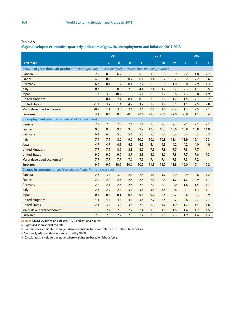**Major developed economies: quarterly indicators of growth, unemployment and inflation, 2011-2013**

|                                                                                                                      | 2011   |              |        |           |        |        | 2012   |           |        | 2013         |                 |
|----------------------------------------------------------------------------------------------------------------------|--------|--------------|--------|-----------|--------|--------|--------|-----------|--------|--------------|-----------------|
| Percentage                                                                                                           | п      | $\mathbf{H}$ | III    | <b>IV</b> | ı      | Ш      | m      | <b>IV</b> | п      | $\mathbf{H}$ | TH <sub>1</sub> |
| Growth of gross domestic product <sup>a</sup> (percentage change in seasonally adjusted data from preceding quarter) |        |              |        |           |        |        |        |           |        |              |                 |
| Canada                                                                                                               | 2.2    | $-0.6$       | 6.2    | 1.9       | 0.8    | 1.6    | 0.8    | 0.9       | 2.2    | 1.8          | 2.7             |
| France                                                                                                               | 4.5    | $-0.2$       | 1.0    | 0.7       | 0.1    | $-1.4$ | 0.7    | $-0.7$    | $-0.2$ | 2.2          | $-0.6$          |
| Germany                                                                                                              | 6.3    | 0.4          | 1.7    | 0.4       | 2.7    | $-0.3$ | 0.8    | $-1.8$    | 0.0    | 2.9          | 1.3             |
| Italy                                                                                                                | 0.3    | 1.0          | $-0.6$ | $-2.9$    | $-4.4$ | $-2.4$ | $-1.7$ | $-3.7$    | $-2.3$ | $-1.1$       | $-0.5$          |
| Japan                                                                                                                | $-7.7$ | $-3.0$       | 10.7   | 1.0       | 5.1    | $-0.8$ | $-3.7$ | 0.6       | 4.3    | 3.8          | 1.9             |
| <b>United Kingdom</b>                                                                                                | 1.9    | 0.4          | 2.4    | $-0.4$    | 0.0    | $-1.8$ | 2.5    | $-1.2$    | 1.5    | 2.7          | 3.2             |
| <b>United States</b>                                                                                                 | $-1.3$ | 3.2          | 1.4    | 4.9       | 3.7    | 1.2    | 2.8    | 0.1       | 1.1    | 2.5          | 2.8             |
| Major developed economiesb                                                                                           | $-0.7$ | 1.1          | 3.0    | 2.4       | 2.6    | 0.1    | 1.0    | $-0.4$    | 1.3    | 2.5          | 2.1             |
| Euro area                                                                                                            | 3.1    | 0.3          | 0.3    | $-0.8$    | $-0.4$ | $-1.2$ | $-0.5$ | $-2.0$    | $-0.9$ | 1.1          | 0.4             |
| Unemployment rate <sup>c</sup> (percentage of total labour force)                                                    |        |              |        |           |        |        |        |           |        |              |                 |
| Canada                                                                                                               | 7.7    | 7.5          | 7.3    | 7.4       | 7.4    | 7.3    | 7.3    | 7.2       | 7.1    | 7.1          | 7.1             |
| France                                                                                                               | 9.6    | 9.5          | 9.6    | 9.8       | 9.9    | 10.2   | 10.3   | 10.6      | 10.8   | 10.8         | 11.0            |
| Germany                                                                                                              | 6.3    | 6.0          | 5.8    | 5.6       | 5.5    | 5.5    | 5.4    | 5.4       | 5.4    | 5.3          | 5.3             |
| Italy                                                                                                                | 7.9    | 7.9          | 8.6    | 9.2       | 10.0   | 10.6   | 10.8   | 11.4      | 11.9   | 12.1         | 12.3            |
| Japan                                                                                                                | 4.7    | 4.7          | 4.5    | 4.5       | 4.5    | 4.4    | 4.3    | 4.2       | 4.2    | 4.0          | 4.0             |
| <b>United Kingdom</b>                                                                                                | 7.7    | 7.9          | 8.2    | 8.3       | 8.2    | 7.9    | 7.8    | 7.7       | 7.8    | 7.7          |                 |
| <b>United States</b>                                                                                                 | 9.0    | 9.0          | 9.0    | 8.7       | 8.3    | 8.2    | 8.0    | 7.8       | 7.7    | 7.6          | 7.3             |
| Major developed economiesd                                                                                           | 7.7    | 7.7          | 7.7    | 7.6       | 7.5    | 7.4    | 7.4    | 7.3       | 7.3    | 7.2          |                 |
| Euro area                                                                                                            | 9.9    | 9.9          | 10.2   | 10.6      | 10.9   | 11.3   | 11.5   | 11.8      | 12.0   | 12.1         | 12.2            |
| Change in consumer prices (percentage change from one year ago)                                                      |        |              |        |           |        |        |        |           |        |              |                 |
| Canada                                                                                                               | 2.6    | 3.4          | 3.0    | 2.7       | 2.3    | 1.6    | 1.2    | 0.9       | 0.9    | 0.8          | 1.2             |
| France                                                                                                               | 2.0    | 2.2          | 2.3    | 2.6       | 2.6    | 2.3    | 2.3    | 1.7       | 1.2    | 0.9          | 1.1             |
| Germany                                                                                                              | 2.2    | 2.5          | 2.6    | 2.6       | 2.4    | 2.1    | 2.1    | 2.0       | 1.8    | 1.5          | 1.7             |
| Italy                                                                                                                | 2.3    | 2.9          | 2.7    | 3.7       | 3.6    | 3.6    | 3.4    | 2.6       | 2.1    | 1.3          | 1.1             |
| Japan                                                                                                                | $-0.5$ | $-0.4$       | 0.1    | $-0.3$    | 0.3    | 0.2    | $-0.4$ | $-0.2$    | $-0.6$ | $-0.3$       | 0.9             |
| <b>United Kingdom</b>                                                                                                | 4.1    | 4.4          | 4.7    | 4.7       | 3.5    | 2.7    | 2.4    | 2.7       | 2.8    | 2.7          | 2.7             |
| <b>United States</b>                                                                                                 | 2.1    | 3.4          | 3.8    | 3.3       | 2.8    | 1.9    | 1.7    | 1.9       | 1.7    | 1.4          | 1.6             |
| Major developed economies <sup>b</sup>                                                                               | 1.9    | 2.7          | 2.9    | 2.7       | 2.4    | 1.8    | 1.6    | 1.6       | 1.4    | 1.2          | 1.5             |
| Euro area                                                                                                            | 2.5    | 2.8          | 2.7    | 2.9       | 2.7    | 2.5    | 2.5    | 2.3       | 1.9    | 1.4          | 1.3             |

**Source:** UN/DESA, based on Eurostat, OECD and national sources.

**a** Expressed as an annualized rate.

**b** Calculated as a weighted average, where weights are based on 2005 GDP in United States dollars.

**c** Seasonally adjusted data as standardized by OECD.

**d** Calculated as a weighted average, where weights are based on labour force.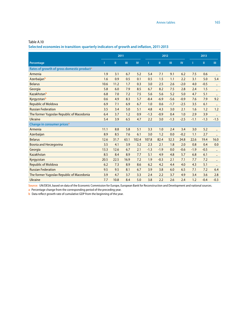**Selected economies in transition: quarterly indicators of growth and inflation, 2011-2013**

|                                                        | 2011 |      |      |           | 2012   |        |        |           | 2013   |        |                      |
|--------------------------------------------------------|------|------|------|-----------|--------|--------|--------|-----------|--------|--------|----------------------|
| Percentage                                             | Т    | Ш    | Ш    | <b>IV</b> |        | П      | Ш      | <b>IV</b> | Т      | Ш      | III.                 |
| Rates of growth of gross domestic product <sup>a</sup> |      |      |      |           |        |        |        |           |        |        |                      |
| Armenia                                                | 1.9  | 3.1  | 6.7  | 5.2       | 5.4    | 7.1    | 9.1    | 6.2       | 7.5    | 0.6    |                      |
| Azerbaijanb                                            | 1.6  | 0.9  | 0.5  | 0.1       | 0.5    | 1.5    | 1.1    | 2.2       | 3.1    | 5.0    | 5.4                  |
| <b>Belarus</b>                                         | 10.6 | 11.2 | 1.7  | 0.3       | 3.0    | 2.5    | 2.6    | $-2.0$    | 4.0    | $-0.5$ | $\ddot{\phantom{0}}$ |
| Georgia                                                | 5.8  | 6.0  | 7.9  | 8.5       | 6.7    | 8.2    | 7.5    | 2.8       | 2.4    | 1.5    | $\ddotsc$            |
| Kazakhstanb                                            | 6.8  | 7.0  | 7.2  | 7.5       | 5.6    | 5.6    | 5.2    | 5.0       | 4.7    | 5.1    | $\ddot{\phantom{a}}$ |
| Kyrgyzstanb                                            | 0.6  | 4.9  | 8.3  | 5.7       | $-8.4$ | $-6.9$ | $-5.6$ | $-0.9$    | 7.6    | 7.9    | 9.2                  |
| <b>Republic of Moldova</b>                             | 6.9  | 7.1  | 6.9  | 6.7       | 1.0    | 0.6    | $-1.7$ | $-2.5$    | 3.5    | 6.1    | $\ddotsc$            |
| <b>Russian Federation</b>                              | 3.5  | 3.4  | 5.0  | 5.1       | 4.8    | 4.3    | 3.0    | 2.1       | 1.6    | 1.2    | 1.2                  |
| The former Yugoslav Republic of Macedonia              | 6.4  | 3.7  | 1.2  | 0.9       | $-1.3$ | $-0.9$ | 0.4    | 1.0       | 2.9    | 3.9    | $\ddotsc$            |
| <b>Ukraine</b>                                         | 5.4  | 3.9  | 6.5  | 4.7       | 2.2    | 3.0    | $-1.3$ | $-2.5$    | $-1.1$ | $-1.3$ | $-1.5$               |
| Change in consumer prices <sup>a</sup>                 |      |      |      |           |        |        |        |           |        |        |                      |
| Armenia                                                | 11.1 | 8.8  | 5.8  | 5.1       | 3.3    | 1.0    | 2.4    | 3.4       | 3.0    | 5.2    | $\ddotsc$            |
| Azerbaijan                                             | 8.9  | 8.5  | 7.6  | 6.1       | 3.0    | 1.2    | 0.0    | $-0.2$    | 1.1    | 2.7    |                      |
| <b>Belarus</b>                                         | 12.6 | 31.7 | 63.1 | 102.4     | 107.8  | 82.4   | 52.3   | 24.8      | 22.6   | 19.4   | 16.0                 |
| <b>Bosnia and Herzegovina</b>                          | 3.5  | 4.1  | 3.9  | 3.2       | 2.3    | 2.1    | 1.8    | 2.0       | 0.8    | 0.4    | 0.0                  |
| Georgia                                                | 13.3 | 12.6 | 6.7  | 2.1       | $-1.3$ | $-1.9$ | 0.0    | $-0.6$    | $-1.9$ | $-0.5$ | $\ddotsc$            |
| Kazakhstan                                             | 8.5  | 8.4  | 8.9  | 7.7       | 5.1    | 4.9    | 4.8    | 5.7       | 6.8    | 6.1    | $\ddotsc$            |
| Kyrgyzstan                                             | 20.5 | 22.5 | 16.9 | 7.2       | 1.9    | $-0.3$ | 2.1    | 7.1       | 7.7    | 7.2    | $\ddot{\phantom{a}}$ |
| <b>Republic of Moldova</b>                             | 6.2  | 7.3  | 8.9  | 8.6       | 6.2    | 4.2    | 4.4    | 4.0       | 4.3    | 5.1    | $\ddotsc$            |
| <b>Russian Federation</b>                              | 9.5  | 9.5  | 8.1  | 6.7       | 3.9    | 3.8    | 6.0    | 6.5       | 7.1    | 7.2    | 6.4                  |
| The former Yugoslav Republic of Macedonia              | 3.9  | 4.7  | 3.7  | 3.3       | 2.4    | 2.2    | 3.7    | 4.9       | 3.4    | 3.6    | 2.8                  |
| <b>Ukraine</b>                                         | 7.7  | 10.8 | 8.4  | 5.0       | 3.8    | 2.2    | 2.6    | 2.4       | 1.2    | $-0.4$ | $-0.3$               |

**Source:** UN/DESA, based on data of the Economic Commission for Europe, European Bank for Reconstruction and Development and national sources.

**a** Percentage change from the corresponding period of the preceding year.

**b** Data reflect growth rate of cumulative GDP from the beginning of the year.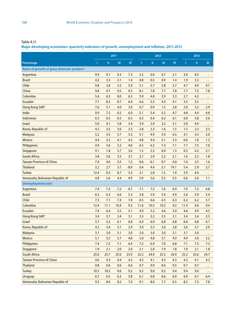**Major developing economies: quarterly indicators of growth, unemployment and inflation, 2011-2013**

|                                                        | 2011 |               |           | 2012       |      |         |      | 2013          |              |              |           |
|--------------------------------------------------------|------|---------------|-----------|------------|------|---------|------|---------------|--------------|--------------|-----------|
| Percentage                                             | Т    | $\mathbf{II}$ | $\rm III$ | ${\sf IV}$ | п    | $\rm H$ | Ш    | $\mathsf{IV}$ | $\mathbf{I}$ | $\mathbf{I}$ | III       |
| Rates of growth of gross domestic product <sup>a</sup> |      |               |           |            |      |         |      |               |              |              |           |
| Argentina                                              | 9.9  | 9.1           | 9.3       | 7.3        | 5.2  | 0.0     | 0.7  | 2.1           | 3.0          | 8.3          |           |
| <b>Brazil</b>                                          | 4.2  | 3.3           | 2.1       | 1.4        | 0.8  | 0.5     | 0.9  | 1.4           | 1.9          | 3.3          | $\ddotsc$ |
| Chile                                                  | 9.8  | 5.8           | 3.2       | 5.0        | 5.1  | 5.7     | 5.8  | 5.7           | 4.7          | 4.0          | 4.7       |
| China                                                  | 9.8  | 9.7           | 9.5       | 9.3        | 8.1  | 7.8     | 7.7  | 7.8           | 7.7          | 7.5          | 7.8       |
| Colombia                                               | 5.6  | 6.5           | 8.0       | 6.5        | 5.9  | 4.8     | 2.9  | 3.3           | 2.7          | 4.2          |           |
| Ecuador                                                | 7.7  | 8.5           | 8.7       | 6.4        | 6.6  | 5.5     | 4.3  | 4.1           | 3.5          | 3.5          | $\ddotsc$ |
| Hong Kong SARb                                         | 7.6  | 5.1           | 4.0       | 3.0        | 0.7  | 0.9     | 1.5  | 2.8           | 2.9          | 3.2          | 2.9       |
| India                                                  | 9.9  | 7.5           | 6.5       | 6.0        | 5.1  | 5.4     | 5.2  | 4.7           | 4.8          | 4.4          | 4.8       |
| Indonesia                                              | 6.5  | 6.5           | 6.5       | 6.5        | 6.3  | 6.4     | 6.2  | 6.1           | 6.0          | 5.8          | 5.6       |
| <b>Israel</b>                                          | 5.0  | 4.1           | 5.8       | 3.4        | 3.9  | 2.9     | 3.2  | 3.1           | 2.9          | 4.9          |           |
| Korea, Republic of                                     | 4.2  | 3.5           | 3.6       | 3.3        | 2.8  | 2.3     | 1.6  | 1.5           | 1.5          | 2.3          | 3.3       |
| <b>Malaysia</b>                                        | 5.2  | 4.3           | 5.7       | 5.3        | 5.1  | 4.9     | 5.4  | 6.5           | 4.1          | 4.3          | 5.0       |
| <b>Mexico</b>                                          | 4.4  | 3.2           | 4.1       | 4.2        | 4.8  | 4.4     | 3.1  | 3.3           | 0.6          | 1.6          | 1.3       |
| Philippines                                            | 4.9  | 3.6           | 3.2       | 4.0        | 6.5  | 6.3     | 7.3  | 7.1           | 7.7          | 7.5          | 7.0       |
| Singapore                                              | 9.1  | 1.8           | 5.7       | 3.6        | 1.5  | 2.3     | 0.0  | 1.5           | 0.3          | 4.2          | 5.1       |
| <b>South Africa</b>                                    | 3.8  | 3.6           | 3.3       | 3.7        | 2.7  | 2.9     | 2.2  | 2.1           | 1.6          | 2.3          | 1.8       |
| <b>Taiwan Province of China</b>                        | 7.4  | 4.6           | 3.5       | 1.2        | 0.6  | $-0.1$  | 0.7  | 4.0           | 1.6          | 2.5          | 1.6       |
| <b>Thailand</b>                                        | 3.2  | 2.7           | 3.7       | $-8.9$     | 0.4  | 4.4     | 3.1  | 19.1          | 5.4          | 2.9          | 2.7       |
| <b>Turkey</b>                                          | 12.4 | 9.3           | 8.7       | 5.3        | 3.1  | 2.8     | 1.5  | 1.4           | 2.9          | 4.4          | $\ddotsc$ |
| Venezuela, Bolivarian Republic of                      | 4.8  | 2.6           | 4.4       | 4.9        | 5.9  | 5.6     | 5.5  | 5.5           | 0.6          | 2.6          | 1.1       |
| Unemployment rate <sup>c</sup>                         |      |               |           |            |      |         |      |               |              |              |           |
| Argentina                                              | 7.4  | 7.3           | 7.2       | 6.7        | 7.1  | 7.2     | 7.6  | 6.9           | 7.9          | 7.2          | 6.8       |
| <b>Brazil</b>                                          | 6.3  | 6.3           | 6.0       | 5.3        | 5.8  | 5.9     | 5.4  | 4.9           | 5.6          | 5.9          | 5.4       |
| Chile                                                  | 7.3  | 7.1           | 7.4       | 7.0        | 6.5  | 6.6     | 6.5  | 6.3           | 6.2          | 6.2          | 5.7       |
| Colombia                                               | 12.4 | 11.1          | 10.4      | 9.3        | 11.6 | 10.5    | 10.2 | 9.2           | 11.4         | 9.6          | 9.4       |
| Ecuador                                                | 7.0  | 6.4           | 5.5       | 5.1        | 4.9  | 5.2     | 4.6  | 5.0           | 4.6          | 4.9          | 4.5       |
| Hong Kong SARb                                         | 3.4  | 3.7           | 3.4       | 3.1        | 3.3  | 3.3     | 3.5  | 3.1           | 3.4          | 3.4          | 3.5       |
| <b>Israel</b>                                          | 5.7  | 5.2           | 6.1       | 6.8        | 6.9  | 6.9     | 6.8  | 6.8           | 6.6          | 6.8          | 6.1       |
| Korea, Republic of                                     | 4.2  | 3.4           | 3.1       | 2.9        | 3.9  | 3.3     | 3.0  | 2.8           | 3.6          | 3.1          | 2.9       |
| <b>Malaysia</b>                                        | 3.1  | 3.0           | 3.1       | 3.0        | 3.0  | 3.0     | 3.0  | 3.1           | 3.1          | 3.0          | $\ddotsc$ |
| Mexico                                                 | 5.1  | 5.2           | 5.7       | 4.8        | 5.0  | 4.8     | 5.1  | 4.9           | 4.9          | 5.0          | 5.2       |
| <b>Philippines</b>                                     | 7.4  | 7.2           | 7.1       | 6.4        | 7.2  | 6.9     | 7.0  | 6.8           | 7.1          | 7.5          | 7.3       |
| Singapore                                              | 1.9  | 2.1           | 2.0       | 2.0        | 2.1  | 2.0     | 1.9  | 1.8           | 1.9          | 2.1          | 1.8       |
| South Africa                                           | 25.0 | 25.7          | 25.0      | 23.9       | 25.2 | 24.9    | 25.5 | 24.9          | 25.2         | 25.6         | 24.7      |
| <b>Taiwan Province of China</b>                        | 4.6  | 4.3           | 4.4       | 4.2        | 4.2  | 4.1     | 4.3  | 4.3           | 4.2          | 4.1          | 4.3       |
| <b>Thailand</b>                                        | 0.8  | 0.6           | 0.6       | 0.6        | 0.7  | 0.9     | 0.6  | 0.5           | 0.7          | 0.7          | $\ddotsc$ |
| <b>Turkey</b>                                          | 10.3 | 10.2          | 9.6       | 9.2        | 9.2  | 9.0     | 9.2  | 9.4           | 9.4          | 9.6          | $\ddotsc$ |
| <b>Uruguay</b>                                         | 6.7  | 6.5           | 6.3       | 5.8        | 6.1  | 6.8     | 6.6  | $6.0\,$       | 6.9          | 6.7          | 6.4       |
| Venezuela, Bolivarian Republic of                      | 9.3  | 8.4           | 8.2       | 7.0        | 9.1  | 8.0     | 7.7  | $6.5\,$       | 8.2          | 7.5          | 7.8       |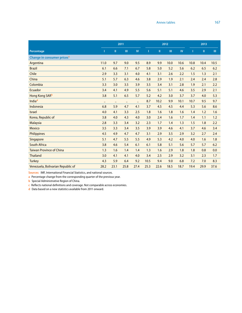|                                        | 2011      |           |           |           | 2012 |      |      |           | 2013 |      |      |  |
|----------------------------------------|-----------|-----------|-----------|-----------|------|------|------|-----------|------|------|------|--|
| Percentage                             | Т         | Ш         | Ш         | <b>IV</b> | I    | Ш    | Ш    | <b>IV</b> | T    | Ш    | Ш    |  |
| Change in consumer prices <sup>a</sup> |           |           |           |           |      |      |      |           |      |      |      |  |
| Argentina                              | 11.0      | 9.7       | 9.0       | 9.5       | 8.9  | 9.9  | 10.0 | 10.6      | 10.8 | 10.4 | 10.5 |  |
| <b>Brazil</b>                          | 6.1       | 6.6       | 7.1       | 6.7       | 5.8  | 5.0  | 5.2  | 5.6       | 6.2  | 6.5  | 6.2  |  |
| Chile                                  | 2.9       | 3.3       | 3.1       | 4.0       | 4.1  | 3.1  | 2.6  | 2.2       | 1.5  | 1.3  | 2.1  |  |
| China                                  | 5.1       | 5.7       | 6.3       | 4.6       | 3.8  | 2.9  | 1.9  | 2.1       | 2.4  | 2.4  | 2.8  |  |
| Colombia                               | 3.3       | 3.0       | 3.5       | 3.9       | 3.5  | 3.4  | 3.1  | 2.8       | 1.9  | 2.1  | 2.2  |  |
| Ecuador                                | 3.4       | 4.1       | 4.9       | 5.5       | 5.6  | 5.1  | 5.1  | 4.6       | 3.5  | 2.9  | 2.1  |  |
| Hong Kong SARb                         | 3.8       | 5.1       | 6.5       | 5.7       | 5.2  | 4.2  | 3.0  | 3.7       | 3.7  | 4.0  | 5.3  |  |
| Indiad                                 | $\ddotsc$ | $\ddotsc$ | $\ddotsc$ | $\ddotsc$ | 8.7  | 10.2 | 9.9  | 10.1      | 10.7 | 9.5  | 9.7  |  |
| Indonesia                              | 6.8       | 5.9       | 4.7       | 4.1       | 3.7  | 4.5  | 4.5  | 4.4       | 5.3  | 5.6  | 8.6  |  |
| <b>Israel</b>                          | 4.0       | 4.1       | 3.3       | 2.5       | 1.8  | 1.6  | 1.8  | 1.6       | 1.4  | 1.2  | 1.6  |  |
| Korea, Republic of                     | 3.8       | 4.0       | 4.3       | 4.0       | 3.0  | 2.4  | 1.6  | 1.7       | 1.4  | 1.1  | 1.2  |  |
| <b>Malaysia</b>                        | 2.8       | 3.3       | 3.4       | 3.2       | 2.3  | 1.7  | 1.4  | 1.3       | 1.5  | 1.8  | 2.2  |  |
| <b>Mexico</b>                          | 3.5       | 3.3       | 3.4       | 3.5       | 3.9  | 3.9  | 4.6  | 4.1       | 3.7  | 4.6  | 3.4  |  |
| Philippines                            | 4.5       | 4.9       | 4.7       | 4.7       | 3.1  | 2.9  | 3.5  | 2.9       | 3.2  | 2.7  | 2.4  |  |
| Singapore                              | 5.1       | 4.7       | 5.5       | 5.5       | 4.9  | 5.3  | 4.2  | 4.0       | 4.0  | 1.6  | 1.8  |  |
| <b>South Africa</b>                    | 3.8       | 4.6       | 5.4       | 6.1       | 6.1  | 5.8  | 5.1  | 5.6       | 5.7  | 5.7  | 6.2  |  |
| <b>Taiwan Province of China</b>        | 1.3       | 1.6       | 1.4       | 1.4       | 1.3  | 1.6  | 2.9  | 1.8       | 1.8  | 0.8  | 0.0  |  |
| <b>Thailand</b>                        | 3.0       | 4.1       | 4.1       | 4.0       | 3.4  | 2.5  | 2.9  | 3.2       | 3.1  | 2.3  | 1.7  |  |
| <b>Turkey</b>                          | 4.3       | 5.9       | 6.4       | 9.2       | 10.5 | 9.4  | 9.0  | 6.8       | 7.2  | 7.0  | 8.3  |  |
| Venezuela, Bolivarian Republic of      | 28.2      | 23.1      | 25.8      | 27.4      | 25.3 | 22.6 | 18.5 | 18.7      | 19.4 | 29.9 | 37.6 |  |

**Sources:** IMF, International Financial Statistics, and national sources.

**a** Percentage change from the corresponding quarter of the previous year.

**b** Special Administrative Region of China.

**c** Reflects national definitions and coverage. Not comparable across economies.

**d** Data based on a new statistics available from 2011 onward.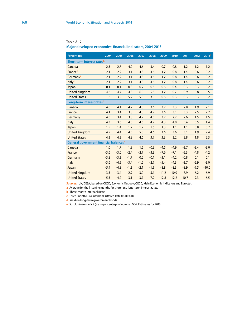| Percentage                                         | 2004   | 2005   | 2006   | 2007   | 2008   | 2009    | 2010    | 2011    | 2012   | 2013 <sup>a</sup> |
|----------------------------------------------------|--------|--------|--------|--------|--------|---------|---------|---------|--------|-------------------|
| Short-term interest rates <sup>b</sup>             |        |        |        |        |        |         |         |         |        |                   |
| Canada                                             | 2.3    | 2.8    | 4.2    | 4.6    | 3.4    | 0.7     | 0.8     | 1.2     | 1.2    | 1.2               |
| <b>France</b> <sup>c</sup>                         | 2.1    | 2.2    | 3.1    | 4.3    | 4.6    | 1.2     | 0.8     | 1.4     | 0.6    | 0.2               |
| Germany <sup>c</sup>                               | 2.1    | 2.2    | 3.1    | 4.3    | 4.6    | 1.2     | 0.8     | 1.4     | 0.6    | 0.2               |
| Italy <sup>c</sup>                                 | 2.1    | 2.2    | 3.1    | 4.3    | 4.6    | 1.2     | 0.8     | 1.4     | 0.6    | 0.2               |
| Japan                                              | 0.1    | 0.1    | 0.3    | 0.7    | 0.8    | 0.6     | 0.4     | 0.3     | 0.3    | 0.2               |
| <b>United Kingdom</b>                              | 4.6    | 4.7    | 4.8    | 6.0    | 5.5    | 1.2     | 0.7     | 0.9     | 0.8    | 0.5               |
| <b>United States</b>                               | 1.6    | 3.5    | 5.2    | 5.3    | 3.0    | 0.6     | 0.3     | 0.3     | 0.3    | 0.2               |
| Long-term interest rates <sup>d</sup>              |        |        |        |        |        |         |         |         |        |                   |
| Canada                                             | 4.6    | 4.1    | 4.2    | 4.3    | 3.6    | 3.2     | 3.3     | 2.8     | 1.9    | 2.1               |
| France                                             | 4.1    | 3.4    | 3.8    | 4.3    | 4.2    | 3.6     | 3.1     | 3.3     | 2.5    | 2.2               |
| Germany                                            | 4.0    | 3.4    | 3.8    | 4.2    | 4.0    | 3.2     | 2.7     | 2.6     | 1.5    | 1.5               |
| Italy                                              | 4.3    | 3.6    | 4.0    | 4.5    | 4.7    | 4.3     | 4.0     | 5.4     | 5.5    | 4.4               |
| Japan                                              | 1.5    | 1.4    | 1.7    | 1.7    | 1.5    | 1.3     | 1.1     | 1.1     | 0.8    | 0.7               |
| <b>United Kingdom</b>                              | 4.9    | 4.4    | 4.5    | 5.0    | 4.6    | 3.6     | 3.6     | 3.1     | 1.9    | 2.4               |
| <b>United States</b>                               | 4.3    | 4.3    | 4.8    | 4.6    | 3.7    | 3.3     | 3.2     | 2.8     | 1.8    | 2.3               |
| General government financial balances <sup>e</sup> |        |        |        |        |        |         |         |         |        |                   |
| Canada                                             | 1.0    | 1.7    | 1.8    | 1.5    | $-0.3$ | $-4.5$  | $-4.9$  | $-3.7$  | $-3.4$ | $-3.0$            |
| France                                             | $-3.6$ | $-3.0$ | $-2.4$ | $-2.7$ | $-3.3$ | $-7.6$  | $-7.1$  | $-5.3$  | $-4.8$ | $-4.2$            |
| Germany                                            | $-3.8$ | $-3.3$ | $-1.7$ | 0.2    | $-0.1$ | $-3.1$  | $-4.2$  | $-0.8$  | 0.1    | 0.1               |
| Italy                                              | $-3.6$ | $-4.5$ | $-3.4$ | $-1.6$ | $-2.7$ | $-5.4$  | $-4.3$  | $-3.7$  | $-2.9$ | $-3.0$            |
| Japan                                              | $-5.9$ | $-4.8$ | $-1.3$ | $-2.1$ | $-1.9$ | $-8.8$  | $-8.3$  | $-8.9$  | $-9.5$ | $-10.0$           |
| <b>United Kingdom</b>                              | $-3.5$ | $-3.4$ | $-2.9$ | $-3.0$ | $-5.1$ | $-11.2$ | $-10.0$ | $-7.9$  | $-6.2$ | $-6.9$            |
| <b>United States</b>                               | $-5.5$ | $-4.2$ | $-3.1$ | $-3.7$ | $-7.2$ | $-12.8$ | $-12.2$ | $-10.7$ | $-9.3$ | $-6.5$            |

Table A.12

**Major developed economies: financial indicators, 2004-2013**

**Sources:** UN/DESA, based on OECD, Economic Outlook; OECD, Main Economic Indicators and Eurostat.

**a** Average for the first nine months for short- and long-term interest rates.

**b** Three-month Interbank Rate.

**c** Three-month Euro Interbank Offered Rate (EURIBOR).

**d** Yield on long-term government bonds.

**e** Surplus (+) or deficit (-) as a percentage of nominal GDP. Estimates for 2013.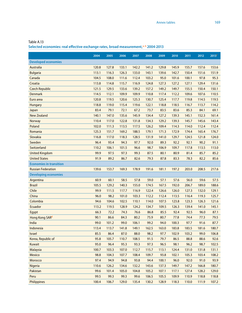Table A.13

**Selected economies: real effective exchange rates, broad measurement,a, b 2004-2013**

|                                | 2004  | 2005  | 2006  | 2007  | 2008  | 2009  | 2010  | 2011  | 2012  | 2013 <sup>c</sup> |
|--------------------------------|-------|-------|-------|-------|-------|-------|-------|-------|-------|-------------------|
| <b>Developed economies</b>     |       |       |       |       |       |       |       |       |       |                   |
| <b>Australia</b>               | 120.8 | 127.8 | 133.1 | 142.2 | 141.2 | 129.8 | 145.9 | 155.7 | 157.6 | 153.6             |
| <b>Bulgaria</b>                | 113.1 | 116.3 | 126.3 | 133.0 | 143.1 | 139.6 | 142.7 | 150.4 | 151.6 | 151.9             |
| Canada                         | 104.5 | 108.0 | 111.6 | 112.4 | 103.2 | 95.0  | 101.6 | 100.1 | 97.8  | 95.3              |
| Croatia                        | 113.8 | 114.8 | 115.7 | 116.9 | 124.8 | 127.3 | 127.2 | 127.1 | 129.4 | 131.6             |
| <b>Czech Republic</b>          | 121.5 | 129.5 | 133.6 | 139.2 | 157.2 | 149.2 | 149.7 | 155.5 | 150.4 | 150.1             |
| <b>Denmark</b>                 | 114.5 | 112.1 | 109.9 | 109.9 | 110.8 | 117.4 | 112.2 | 109.6 | 107.6 | 110.5             |
| Euro area                      | 120.8 | 119.5 | 120.6 | 125.3 | 130.7 | 125.4 | 117.7 | 119.8 | 114.5 | 119.5             |
| <b>Hungary</b>                 | 118.8 | 119.0 | 115.4 | 119.6 | 122.1 | 118.8 | 118.5 | 116.7 | 113.7 | 114.2             |
| Japan                          | 83.4  | 79.1  | 72.1  | 67.2  | 73.7  | 83.5  | 83.6  | 85.3  | 84.1  | 69.1              |
| <b>New Zealand</b>             | 140.1 | 147.0 | 135.6 | 145.9 | 134.4 | 127.2 | 139.3 | 145.1 | 152.3 | 161.4             |
| <b>Norway</b>                  | 110.4 | 117.0 | 122.8 | 131.8 | 134.3 | 129.2 | 139.3 | 145.7 | 145.6 | 143.4             |
| Poland                         | 102.0 | 111.3 | 113.5 | 117.5 | 126.2 | 109.4 | 114.3 | 114.0 | 112.4 | 112.4             |
| Romania                        | 125.3 | 151.7 | 169.2 | 188.5 | 179.1 | 171.3 | 172.9 | 174.4 | 165.4 | 176.7             |
| Slovakia                       | 116.8 | 117.0 | 118.3 | 128.5 | 131.9 | 141.0 | 129.7 | 124.5 | 121.8 | 124.0             |
| Sweden                         | 96.4  | 93.4  | 94.3  | 97.7  | 92.0  | 89.3  | 92.2  | 92.1  | 90.2  | 91.1              |
| Switzerland                    | 110.2 | 106.1 | 101.5 | 96.6  | 98.7  | 106.9 | 109.7 | 117.8 | 113.5 | 113.0             |
| <b>United Kingdom</b>          | 99.9  | 97.5  | 97.3  | 99.3  | 87.5  | 80.1  | 80.9  | 81.4  | 85.7  | 85.2              |
| <b>United States</b>           | 91.9  | 89.2  | 86.7  | 82.6  | 79.3  | 87.8  | 83.3  | 78.3  | 82.2  | 85.6              |
| <b>Economies in transition</b> |       |       |       |       |       |       |       |       |       |                   |
| <b>Russian Federation</b>      | 139.6 | 153.7 | 169.3 | 178.9 | 191.6 | 181.1 | 197.2 | 203.0 | 208.5 | 217.6             |
| <b>Developing economies</b>    |       |       |       |       |       |       |       |       |       |                   |
| Argentina                      | 60.9  | 60.1  | 58.5  | 57.8  | 59.0  | 57.1  | 57.6  | 56.0  | 59.6  | 57.5              |
| <b>Brazil</b>                  | 105.5 | 129.2 | 140.3 | 155.0 | 174.5 | 167.5 | 192.0 | 206.7 | 189.0 | 188.6             |
| Chile                          | 99.9  | 111.5 | 117.7 | 116.9 | 122.4 | 126.6 | 126.0 | 127.3 | 132.0 | 129.1             |
| China                          | 96.0  | 98.2  | 101.0 | 103.3 | 112.2 | 112.4 | 113.5 | 116.4 | 119.3 | 125.7             |
| Colombia                       | 94.6  | 104.6 | 102.5 | 110.1 | 114.0 | 107.5 | 123.8 | 123.3 | 126.3 | 121.6             |
| <b>Ecuador</b>                 | 113.2 | 119.5 | 128.9 | 124.2 | 134.7 | 109.5 | 126.3 | 139.4 | 141.0 | 145.1             |
| Egypt                          | 66.3  | 72.2  | 74.3  | 76.6  | 86.8  | 85.5  | 92.4  | 92.5  | 96.0  | 87.1              |
| Hong Kong SARd                 | 90.1  | 86.6  | 84.3  | 80.2  | 75.9  | 80.7  | 77.8  | 74.4  | 77.3  | 79.5              |
| India                          | 99.0  | 101.2 | 99.0  | 106.1 | 99.2  | 94.0  | 100.3 | 97.7  | 91.6  | 87.7              |
| Indonesia                      | 113.4 | 113.7 | 141.8 | 149.1 | 162.5 | 163.0 | 183.8 | 183.5 | 181.6 | 180.7             |
| <b>Israel</b>                  | 85.5  | 86.4  | 87.0  | 88.0  | 98.2  | 97.7  | 102.9 | 103.2 | 99.0  | 106.8             |
| Korea, Republic of             | 95.8  | 105.7 | 110.7 | 108.5 | 91.5  | 79.7  | 86.5  | 88.8  | 88.6  | 92.6              |
| <b>Kuwait</b>                  | 95.0  | 96.4  | 95.3  | 93.3  | 97.3  | 96.5  | 98.1  | 96.2  | 98.7  | 102.5             |
| <b>Malaysia</b>                | 100.7 | 103.3 | 107.0 | 112.7 | 115.7 | 113.1 | 124.4 | 131.0 | 131.8 | 131.1             |
| <b>Mexico</b>                  | 98.8  | 104.3 | 107.7 | 108.4 | 109.7 | 93.8  | 102.1 | 105.3 | 103.4 | 108.2             |
| Morocco                        | 97.4  | 94.9  | 94.8  | 93.8  | 94.4  | 100.1 | 96.0  | 92.0  | 91.0  | 93.9              |
| Nigeria                        | 110.6 | 126.2 | 134.6 | 132.2 | 143.6 | 137.3 | 149.7 | 147.2 | 166.8 | 180.7             |
| Pakistan                       | 99.6  | 101.4 | 105.0 | 104.8 | 105.2 | 107.1 | 117.1 | 127.4 | 128.2 | 129.0             |
| Peru                           | 99.5  | 99.3  | 99.3  | 99.6  | 106.5 | 105.5 | 109.9 | 110.9 | 118.8 | 118.8             |
| Philippines                    | 100.4 | 106.7 | 129.0 | 135.4 | 130.2 | 128.9 | 118.3 | 110.0 | 111.9 | 107.2             |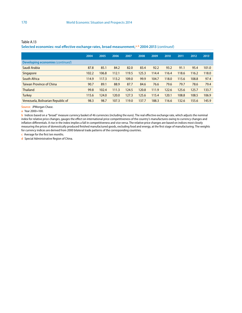#### **Selected economies: real effective exchange rates, broad measurement,a, b 2004-2013** (*continued*)

|                                   | 2004  | 2005  | 2006  | 2007  | 2008  | 2009  | 2010  | 2011  | 2012  | 2013 <sup>c</sup> |
|-----------------------------------|-------|-------|-------|-------|-------|-------|-------|-------|-------|-------------------|
| Developing economies (continued)  |       |       |       |       |       |       |       |       |       |                   |
| Saudi Arabia                      | 87.8  | 85.1  | 84.2  | 82.0  | 83.4  | 92.2  | 93.2  | 91.1  | 95.4  | 101.0             |
| Singapore                         | 102.2 | 106.8 | 112.1 | 119.5 | 125.3 | 114.4 | 116.4 | 118.6 | 116.2 | 118.0             |
| <b>South Africa</b>               | 114.9 | 117.3 | 113.2 | 109.0 | 99.9  | 104.7 | 118.0 | 115.6 | 108.8 | 97.4              |
| <b>Taiwan Province of China</b>   | 90.7  | 89.1  | 88.9  | 87.7  | 84.6  | 76.6  | 79.6  | 79.7  | 78.6  | 79.4              |
| <b>Thailand</b>                   | 99.8  | 102.4 | 111.3 | 124.5 | 120.8 | 111.9 | 122.6 | 125.6 | 125.7 | 133.7             |
| <b>Turkey</b>                     | 115.6 | 124.0 | 120.0 | 127.3 | 125.6 | 115.4 | 120.1 | 108.8 | 108.5 | 106.9             |
| Venezuela, Bolivarian Republic of | 98.3  | 98.7  | 107.3 | 119.0 | 137.7 | 188.3 | 116.6 | 132.6 | 155.6 | 145.9             |

**Source:** JPMorgan Chase.

**a** Year 2000=100.

**b** Indices based on a "broad" measure currency basket of 46 currencies (including the euro). The real effective exchange rate, which adjusts the nominal index for relative price changes, gauges the effect on international price competitiveness of the country's manufactures owing to currency changes and inflation differentials. A rise in the index implies a fall in competitiveness and vice versa. The relative price changes are based on indices most closely measuring the prices of domestically produced finished manufactured goods, excluding food and energy, at the first stage of manufacturing. The weights for currency indices are derived from 2000 bilateral trade patterns of the corresponding countries.

**c** Average for the first ten months.

**d** Special Administrative Region of China.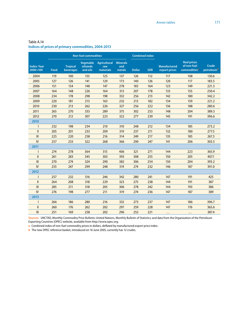|                                    | <b>Non-fuel commodities</b> |                              |                                          |                                  |                                  |               | <b>Combined index</b> |                                      |                                                               |                                 |
|------------------------------------|-----------------------------|------------------------------|------------------------------------------|----------------------------------|----------------------------------|---------------|-----------------------|--------------------------------------|---------------------------------------------------------------|---------------------------------|
| <b>Index: Year</b><br>$2000 = 100$ | Food                        | <b>Tropical</b><br>beverages | <b>Vegetable</b><br>oilseeds<br>and oils | Agricultural<br>raw<br>materials | <b>Minerals</b><br>and<br>metals | <b>Dollar</b> | <b>SDR</b>            | <b>Manufactured</b><br>export prices | <b>Real prices</b><br>of non-fuel<br>commodities <sup>a</sup> | Crude<br>petroleum <sup>b</sup> |
| 2004                               | 119                         | 100                          | 155                                      | 125                              | 137                              | 126           | 112                   | 117                                  | 108                                                           | 130.6                           |
| 2005                               | 127                         | 126                          | 141                                      | 129                              | 173                              | 140           | 126                   | 120                                  | 117                                                           | 183.5                           |
| 2006                               | 151                         | 134                          | 148                                      | 147                              | 278                              | 183           | 164                   | 123                                  | 149                                                           | 221.3                           |
| 2007                               | 164                         | 148                          | 226                                      | 164                              | 313                              | 207           | 178                   | 133                                  | 155                                                           | 250.4                           |
| 2008                               | 234                         | 178                          | 298                                      | 198                              | 332                              | 256           | 213                   | 142                                  | 180                                                           | 342.2                           |
| 2009                               | 220                         | 181                          | 213                                      | 163                              | 232                              | 213           | 182                   | 134                                  | 159                                                           | 221.2                           |
| 2010                               | 230                         | 213                          | 262                                      | 226                              | 327                              | 256           | 222                   | 136                                  | 188                                                           | 280.6                           |
| 2011                               | 265                         | 270                          | 333                                      | 289                              | 375                              | 302           | 253                   | 148                                  | 204                                                           | 389.3                           |
| 2012                               | 270                         | 212                          | 307                                      | 223                              | 322                              | 277           | 239                   | 145                                  | 191                                                           | 396.6                           |
| 2010                               |                             |                              |                                          |                                  |                                  |               |                       |                                      |                                                               |                                 |
|                                    | 232                         | 198                          | 234                                      | 210                              | 310                              | 248           | 212                   | 134                                  | 185                                                           | 273.2                           |
| $\mathbf{II}$                      | 205                         | 201                          | 233                                      | 209                              | 319                              | 237           | 211                   | 132                                  | 180                                                           | 277.5                           |
| III                                | 225                         | 220                          | 258                                      | 216                              | 314                              | 249           | 217                   | 135                                  | 185                                                           | 267.3                           |
| IV                                 | 257                         | 233                          | 322                                      | 268                              | 366                              | 290           | 247                   | 141                                  | 206                                                           | 303.5                           |
| 2011                               |                             |                              |                                          |                                  |                                  |               |                       |                                      |                                                               |                                 |
|                                    | 274                         | 278                          | 364                                      | 315                              | 406                              | 321           | 271                   | 144                                  | 223                                                           | 365.9                           |
| $\mathbf{II}$                      | 261                         | 283                          | 345                                      | 303                              | 393                              | 308           | 255                   | 150                                  | 205                                                           | 407.1                           |
| III                                | 270                         | 274                          | 324                                      | 290                              | 382                              | 306           | 254                   | 150                                  | 204                                                           | 393.2                           |
| IV                                 | 255                         | 247                          | 299                                      | 248                              | 319                              | 274           | 232                   | 146                                  | 187                                                           | 391.0                           |
| 2012                               |                             |                              |                                          |                                  |                                  |               |                       |                                      |                                                               |                                 |
|                                    | 257                         | 232                          | 316                                      | 246                              | 342                              | 280           | 241                   | 147                                  | 191                                                           | 425                             |
| $\mathbf{II}$                      | 264                         | 208                          | 318                                      | 229                              | 323                              | 275           | 238                   | 144                                  | 191                                                           | 387                             |
| III                                | 285                         | 211                          | 318                                      | 205                              | 306                              | 278           | 242                   | 144                                  | 193                                                           | 386                             |
| IV                                 | 276                         | 198                          | 277                                      | 211                              | 319                              | 274           | 236                   | 147                                  | 187                                                           | 389                             |
| 2013                               |                             |                              |                                          |                                  |                                  |               |                       |                                      |                                                               |                                 |
|                                    | 266                         | 186                          | 280                                      | 216                              | 332                              | 273           | 237                   | 147                                  | 186                                                           | 396.7                           |
| $\mathbf{II}$                      | 260                         | 176                          | 262                                      | 202                              | 297                              | 259           | 228                   | 147                                  | 176                                                           | 365.6                           |
| III                                | 251                         | 169                          | 258                                      | 202                              | 296                              | 252           | 221                   | $\cdots$                             | $\cdots$                                                      | 387.4                           |

### Table A.14 **Indices of prices of primary commodities, 2004-2013**

**Sources:** UNCTAD, Monthly Commodity Price Bulletin; United Nations, Monthly Bulletin of Statistics; and data from the Organization of the Petroleum Exporting Countries (OPEC) website, available from http://www.opec.org.

**a** Combined index of non-fuel commodity prices in dollars, deflated by manufactured export price index.

**b** The new OPEC reference basket, introduced on 16 June 2005, currently has 12 crudes.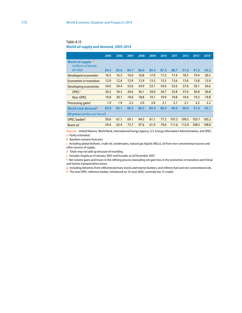Table A.15 **World oil supply and demand, 2005-2014**

|                                                           | 2005 | 2006 | 2007 | 2008 | 2009 | 2010 | 2011  | 2012  | 2013 <sup>a</sup> | 2014 <sup>b</sup> |
|-----------------------------------------------------------|------|------|------|------|------|------|-------|-------|-------------------|-------------------|
| World oil supply <sup>c, d</sup><br>(millions of barrels) |      |      |      |      |      |      |       |       |                   |                   |
| per day)                                                  | 84.3 | 85.0 | 84.7 | 86.6 | 85.4 | 87.4 | 88.7  | 91.0  | 91.5              | 93.2              |
| Developed economies                                       | 16.5 | 16.3 | 16.0 | 16.8 | 17.0 | 17.2 | 17.4  | 18.3  | 19.4              | 20.5              |
| Economies in transition                                   | 12.0 | 12.4 | 12.9 | 12.9 | 13.3 | 13.5 | 13.6  | 13.6  | 13.8              | 13.9              |
| Developing economies                                      | 54.0 | 54.4 | 53.6 | 54.9 | 53.1 | 54.6 | 55.6  | 57.0  | 56.1              | 56.6              |
| <b>OPEC<sup>e</sup></b>                                   | 34.2 | 34.3 | 34.6 | 36.1 | 34.0 | 34.7 | 35.8  | 37.6  | 36.8              | 36.8              |
| Non-OPEC                                                  | 19.8 | 20.1 | 19.0 | 18.8 | 19.1 | 19.9 | 19.8  | 19.4  | 19.3              | 19.8              |
| Processing gains <sup>t</sup>                             | 1.9  | 1.9  | 2.2  | 2.0  | 2.0  | 2.1  | 2.1   | 2.1   | 2.2               | 2.2               |
| World total demand <sup>9</sup>                           | 83.8 | 85.1 | 86.5 | 86.5 | 85.4 | 88.4 | 89.0  | 90.0  | 91.0              | 92.1              |
| <b>Oil prices (dollars per barrel)</b>                    |      |      |      |      |      |      |       |       |                   |                   |
| OPEC basketh                                              | 50.6 | 61.1 | 69.1 | 94.5 | 61.1 | 77.5 | 107.5 | 109.5 | 105.7             | 105.2             |
| <b>Brent oil</b>                                          | 54.4 | 65.4 | 72.7 | 97.6 | 61.9 | 79.6 | 111.6 | 112.0 | 108.5             | 108.0             |

**Sources:** United Nations, World Bank, International Energy Agency, U.S. Energy Information Administration, and OPEC. **a** Partly estimated.

**b** Baseline scenario forecasts.

**c** Including global biofuels, crude oil, condensates, natural gas liquids (NGLs), oil from non-conventional sources and other sources of supply.

**d** Totals may not add up because of rounding.

**e** Includes Angola as of January 2007 and Ecuador as of December 2007.

**f** Net volume gains and losses in the refining process (excluding net gain/loss in the economies in transition and China) and marine transportation losses.

**g** Including deliveries from refineries/primary stocks and marine bunkers, and refinery fuel and non-conventional oils. **h** The new OPEC reference basket, introduced on 16 June 2005, currently has 12 crudes.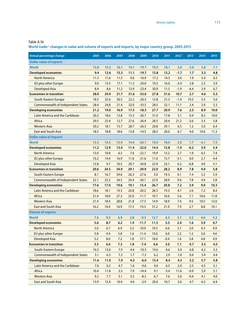**World trade:a changes in value and volume of exports and imports, by major country group, 2005-2015**

| Annual percentage change                  | 2005    | 2006 | 2007 | 2008 | 2009    | 2010 | 2011   | 2012 <sup>b</sup> | 2013 <sup>c</sup> | 2014 <sup>c</sup> | 2015 <sup>c</sup> |
|-------------------------------------------|---------|------|------|------|---------|------|--------|-------------------|-------------------|-------------------|-------------------|
| <b>Dollar value of exports</b>            |         |      |      |      |         |      |        |                   |                   |                   |                   |
| <b>World</b>                              | 13.8    | 15.2 | 16.1 | 14.1 | $-19.7$ | 19.5 | 18.1   | 2.6               | 2.0               | 5.8               | 7.1               |
| <b>Developed economies</b>                | 9.4     | 12.6 | 15.3 | 11.1 | $-19.7$ | 13.8 | 15.2   | $-1.7$            | 1.7               | 3.3               | 4.8               |
| <b>North America</b>                      | 11.3    | 11.6 | 11.5 | 9.6  | $-16.9$ | 17.2 | 14.5   | 3.6               | 1.9               | 5.4               | 6.5               |
| EU plus other Europe                      | 9.0     | 13.5 | 17.1 | 11.2 | $-20.0$ | 10.5 | 16.0   | $-3.4$            | 2.8               | 2.5               | 3.9               |
| <b>Developed Asia</b>                     | 8.4     | 8.6  | 11.2 | 13.9 | $-23.4$ | 30.9 | 11.5   | $-1.9$            | $-6.4$            | 3.9               | 6.7               |
| <b>Economies in transition</b>            | 28.0    | 24.9 | 21.7 | 31.6 | $-33.0$ | 27.8 | 31.6   | 10.7              | 2.7               | 4.0               | 5.3               |
| South-Eastern Europe                      | 18.5    | 25.6 | 30.5 | 22.2 | $-20.3$ | 12.8 | 21.3   | $-1.4$            | 10.5              | 5.5               | 5.0               |
| <b>Commonwealth of Independent States</b> | 28.4    | 24.8 | 21.4 | 32.0 | $-33.5$ | 28.5 | 32.1   | 11.1              | 2.4               | 3.9               | 5.3               |
| <b>Developing economies</b>               | 21.2    | 19.0 | 16.9 | 17.3 | $-18.3$ | 27.7 | 20.9   | 7.6               | 2.5               | 8.9               | 10.0              |
| Latin America and the Caribbean           | 20.2    | 18.6 | 12.8 | 15.3 | $-20.7$ | 31.0 | 17.8   | 5.1               | 0.4               | 8.3               | 10.0              |
| Africa                                    | 29.5    | 23.4 | 12.7 | 27.6 | $-26.4$ | 28.5 | 20.4   | 21.2              | $-3.6$            | 3.5               | 5.8               |
| <b>Western Asia</b>                       | 30.2    | 18.1 | 15.7 | 28.7 | $-26.3$ | 20.8 | 29.1   | 6.5               | 1.2               | 5.0               | 6.4               |
| <b>East and South Asia</b>                | 18.5    | 18.8 | 18.6 | 13.8 | $-14.5$ | 28.5 | 20.0   | 6.7               | 4.0               | 10.6              | 11.3              |
| <b>Dollar value of imports</b>            |         |      |      |      |         |      |        |                   |                   |                   |                   |
| <b>World</b>                              | 13.3    | 14.5 | 15.9 | 14.4 | $-20.1$ | 19.0 | 18.0   | 2.0               | 1.7               | 6.1               | 7.5               |
| <b>Developed economies</b>                | 11.2    | 12.9 | 13.4 | 11.4 | $-22.0$ | 14,4 | 15.8   | $-1.9$            | $-0.2$            | 3.9               | 5.4               |
| <b>North America</b>                      | 13.0    | 10.8 | 6.5  | 7.6  | $-22.1$ | 19.9 | 13.2   | 2.7               | 1.9               | 6.5               | 7.4               |
| <b>EU plus other Europe</b>               | 10.2    | 14.4 | 16.9 | 11.6 | $-21.6$ | 11.0 | 15.7   | $-5.1$            | 0.0               | 2.7               | 4.4               |
| <b>Developed Asia</b>                     | 12.8    | 9.7  | 10.5 | 20.7 | $-24.8$ | 23.9 | 23.1   | 6.2               | $-6.8$            | 4.0               | 5.1               |
| <b>Economies in transition</b>            | 20.6    | 24.5 | 34.9 | 29.1 | $-29.9$ | 22.0 | 28.2   | 8.9               | 7.8               | 4.9               | 5.8               |
| South-Eastern Europe                      | 8.1     | 16.7 | 39.6 | 26.3 | $-27.6$ | 3.0  | 19.3   | 0.1               | 7.4               | 5.2               | 5.9               |
| <b>Commonwealth of Independent States</b> | 22.1    | 25.3 | 34.5 | 29.4 | $-30.1$ | 23.9 | 28.9   | 9.6               | 7.8               | 4.9               | 5.8               |
| <b>Developing economies</b>               | 17.6    | 17.0 | 19.6 | 19.1 | $-15.4$ | 26.7 | 20.8   | 7.2               | 3.9               | 9.0               | 10.3              |
| Latin America and the Caribbean           | 18.6    | 18.1 | 19.3 | 20.8 | $-20.2$ | 28.3 | 19.3   | 4.7               | 2.6               | 7.2               | 8.4               |
| Africa                                    | 21.4    | 18.0 | 27.3 | 25.0 | $-11.7$ | 10.7 | 16.6   | 5.6               | 7.1               | 10.6              | 11.8              |
| <b>Western Asia</b>                       | 21.4    | 18.4 | 28.8 | 21.8 | $-17.5$ | 14.9 | 18.9   | 7.4               | 9.5               | 10.5              | 12.0              |
| <b>East and South Asia</b>                | 16.2    | 16.4 | 16.9 | 17.3 | $-14.3$ | 31.2 | 21.9   | 7.9               | 2.7               | 8.8               | 10.1              |
| <b>Volume of exports</b>                  |         |      |      |      |         |      |        |                   |                   |                   |                   |
| World                                     | 7.6     | 9.5  | 6.9  | 2.8  | $-9.3$  | 12.7 | 6.5    | 3.1               | 2.2               | 4.6               | 5.2               |
| <b>Developed economies</b>                | 5.6     | 8.7  | 6.2  | 1.9  | $-11.7$ | 11.3 | 5.5    | 2.4               | 1.6               | 3.9               | 4.7               |
| <b>North America</b>                      | $5.0\,$ | 6.7  | 6.9  | 3.2  | $-10.0$ | 10.5 | 6.6    | 3.1               | 2.0               | 4.3               | 4.9               |
| <b>EU plus other Europe</b>               | 5.8     | 9.4  | 5.8  | 1.6  | $-11.4$ | 10.6 | 6.0    | 2.2               | 1.2               | 3.6               | 4.6               |
| <b>Developed Asia</b>                     | 5.2     | 8.0  | 7.2  | 1.8  | $-17.1$ | 18.0 | $-0.4$ | 1.6               | 3.8               | 4.8               | 4.9               |
| <b>Economies in transition</b>            | 3.5     | 6.6  | 7.3  | 1.8  | $-7.4$  | 6.6  | 3.0    | 1,1               | 0.7               | 3.5               | 4.5               |
| South-Eastern Europe                      | 16.5    | 13.6 | 7.9  | 4.4  | $-10.3$ | 19.6 | 6.6    | 3.4               | 6.8               | 6.2               | 5.3               |
| <b>Commonwealth of Independent States</b> | 3.1     | 6.3  | 7.3  | 1.7  | $-7.3$  | 6.2  | 2.9    | 1.0               | 0.4               | 3.4               | 4.4               |
| <b>Developing economies</b>               | 11.6    | 11.0 | 7.9  | 4.2  | $-6.0$  | 15.4 | 8.4    | 4.3               | 3.2               | 5.7               | 5.8               |
| Latin America and the Caribbean           | 7.6     | 6.2  | 4.7  | 1.6  | $-9.6$  | 9.6  | 6.5    | 2.4               | 2.5               | 4.5               | 5.1               |
| Africa                                    | 10.4    | 11.8 | 3.3  | 7.9  | $-14.4$ | 9.1  | $-3.4$ | 11.6              | $-0.9$            | 5.9               | 5.1               |
| <b>Western Asia</b>                       | 9.2     | 7.7  | 5.1  | 3.5  | $-8.3$  | 6.7  | 7.6    | 5.0               | $-0.4$            | 4.1               | 4.0               |
| <b>East and South Asia</b>                | 13.9    | 13.4 | 10.4 | 4.4  | $-2.9$  | 20.0 | 10.7   | 3.6               | 4.7               | 6.3               | 6.4               |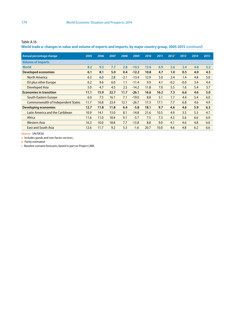| Table A.16 |  |  |  |
|------------|--|--|--|
|            |  |  |  |

**World trade a: changes in value and volume of exports and imports, by major country group, 2005-2015** (*continued*)

| Annual percentage change                  | 2005 | 2006 | 2007 | 2008   | 2009    | 2010 | 2011 | 2012 <sup>b</sup> | 2013 <sup>c</sup> | 2014 <sup>c</sup> | 2015 <sup>c</sup> |
|-------------------------------------------|------|------|------|--------|---------|------|------|-------------------|-------------------|-------------------|-------------------|
| <b>Volume of imports</b>                  |      |      |      |        |         |      |      |                   |                   |                   |                   |
| <b>World</b>                              | 8.2  | 9.5  | 7.7  | 2.8    | $-10.5$ | 13.6 | 6.9  | 2.6               | 2.4               | 4.8               | 5.3               |
| <b>Developed economies</b>                | 6.1  | 8.1  | 5.0  | 0.4    | $-12.2$ | 10.8 | 4.7  | 1.0               | 0.5               | 4.0               | 4.5               |
| <b>North America</b>                      | 6.3  | 6.0  | 2.8  | $-2.1$ | $-13.4$ | 12.9 | 5.0  | 2.4               | 1.4               | 4.8               | 5.0               |
| EU plus other Europe                      | 6.2  | 9.6  | 6.0  | 1.1    | $-11.4$ | 9.9  | 4.1  | $-0.2$            | $-0.0$            | 3.4               | 4.4               |
| Developed Asia                            | 5.0  | 4.7  | 4.5  | 2.5    | $-14.2$ | 11.8 | 7.0  | 5.5               | 1.6               | 5.4               | 3.7               |
| <b>Economies in transition</b>            | 11.1 | 15.9 | 22.7 | 11.7   | $-26.1$ | 16.6 | 16.2 | 7.3               | 6.6               | 4.6               | 5.0               |
| South-Eastern Europe                      | 6.0  | 7.5  | 16.1 | 7.1    | $-19.0$ | 8.8  | 5.1  | 1.7               | 4.4               | 5.4               | 6.0               |
| <b>Commonwealth of Independent States</b> | 11.7 | 16.8 | 23.4 | 12.1   | $-26.7$ | 17.3 | 17.1 | 7.7               | 6.8               | 4.6               | 4.9               |
| <b>Developing economies</b>               | 12.7 | 11.8 | 11.8 | 6.4    | $-5.8$  | 18.1 | 9.7  | 4.6               | 4.6               | 5.9               | 6.3               |
| Latin America and the Caribbean           | 10.9 | 14.1 | 13.0 | 8.1    | $-14.8$ | 21.6 | 10.5 | 4.9               | 3.5               | 5.3               | 4.7               |
| Africa                                    | 11.6 | 11.0 | 18.4 | 9.1    | $-5.7$  | 7.5  | 7.3  | 4.5               | 5.6               | 6.6               | 6.9               |
| <b>Western Asia</b>                       | 16.3 | 10.0 | 18.8 | 7.7    | $-13.8$ | 8.8  | 9.0  | 4.1               | 4.6               | 4.8               | 6.0               |
| <b>East and South Asia</b>                | 12.6 | 11.7 | 9.2  | 5.3    | $-1.6$  | 20.7 | 10.0 | 4.6               | 4.8               | 6.2               | 6.6               |
|                                           |      |      |      |        |         |      |      |                   |                   |                   |                   |

**Source:** UN/DESA.

**a** Includes goods and non-factor services.

**b** Partly estimated.

**c** Baseline scenario forecasts, based in part on Project LINK.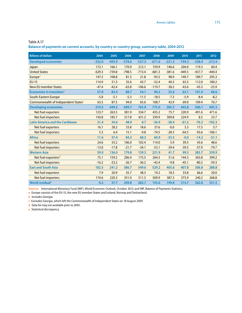**Balance of payments on current accounts, by country or country group, summary table, 2004-2012**

| <b>Billions of dollars</b>                      | 2004     | 2005     | 2006     | 2007     | 2008     | 2009     | 2010     | 2011     | 2012     |
|-------------------------------------------------|----------|----------|----------|----------|----------|----------|----------|----------|----------|
| <b>Developed economies</b>                      | $-332.0$ | $-493.9$ | $-578.6$ | $-537.3$ | $-671.6$ | $-221.3$ | $-194.3$ | $-238.4$ | $-212.4$ |
| Japan                                           | 172.1    | 166.1    | 170.9    | 212.1    | 159.9    | 146.6    | 204.0    | 119.3    | 60.4     |
| <b>United States</b>                            | $-629.3$ | $-739.8$ | $-798.5$ | $-713.4$ | $-681.3$ | $-381.6$ | $-449.5$ | $-457.7$ | $-440.4$ |
| Europe <sup>a</sup>                             | 147.5    | 108.8    | 81.5     | 21.8     | $-93.5$  | 98.9     | 149.7    | 189.7    | 295.3    |
| <b>EU-15</b>                                    | 114.9    | 51.3     | 35.6     | 43.7     | $-52.4$  | 40.3     | 63.3     | 112.0    | 180.2    |
| <b>New EU member States</b>                     | $-47.4$  | $-42.4$  | $-63.8$  | $-106.6$ | $-119.7$ | $-38.2$  | $-43.6$  | $-43.3$  | $-25.9$  |
| <b>Economies in transition</b> b                | 57.8     | 82.4     | 88.7     | 54.1     | 90.2     | 35.6     | 63.1     | 101.0    | 68.6     |
| South-Eastern Europe                            | $-5.8$   | $-5.1$   | $-5.3$   | $-11.5$  | $-18.5$  | $-7.3$   | $-5.9$   | $-8.4$   | $-8.2$   |
| Commonwealth of Independent States <sup>c</sup> | 63.5     | 87.5     | 94.0     | 65.6     | 108.7    | 42.9     | 69.0     | 109.4    | 76.7     |
| <b>Developing economies</b>                     | 274.5    | 449.2    | 699.7    | 765.9    | 775.0    | 385.5    | 445.8    | 500.1    | 495.3    |
| Net fuel exporters                              | 123.7    | 263.5    | 381.9    | 334.7    | 435.2    | 75.7     | 220.9    | 491.6    | 471.6    |
| Net fuel importers                              | 150.8    | 185.7    | 317.8    | 431.2    | 339.9    | 309.8    | 224.9    | 8.5      | 23.7     |
| <b>Latin America and the Caribbean</b>          | 21.4     | 34.6     | 48.9     | 8.7      | $-36.9$  | $-28.4$  | $-61.2$  | $-76.2$  | $-102.3$ |
| Net fuel exporters                              | 16.1     | 28.2     | 33.8     | 18.6     | 37.6     | $-0.0$   | 3.3      | 17.5     | 3.7      |
| <b>Net fuel importers</b>                       | 5.3      | 6.4      | 15.1     | $-9.8$   | $-74.5$  | $-28.3$  | $-64.5$  | $-93.6$  | $-106.1$ |
| <b>Africa</b>                                   | 11.6     | 37.4     | 84.3     | 68.3     | 60.9     | $-33.5$  | $-0.0$   | $-14.2$  | $-31.1$  |
| Net fuel exporters                              | 24.6     | 55.2     | 106.0    | 102.4    | 114.0    | 5.9      | 39.5     | 43.6     | 48.6     |
| Net fuel importers                              | $-13.0$  | $-17.8$  | $-21.7$  | $-34.1$  | $-53.1$  | $-39.4$  | $-39.5$  | $-57.9$  | $-79.7$  |
| <b>Western Asia</b>                             | 59.0     | 136.0    | 179.8    | 139.3    | 221.9    | 41.7     | 99.3     | 283.7    | 339.9    |
| Net fuel exporters <sup>d</sup>                 | 75.1     | 159.2    | 206.4    | 175.5    | 264.3    | 51.6     | 144.3    | 363.8    | 399.2    |
| Net fuel importers                              | $-16.2$  | $-23.2$  | $-26.7$  | $-36.2$  | $-42.4$  | $-9.8$   | $-45.1$  | $-80.2$  | $-59.3$  |
| <b>East and South Asia</b>                      | 182.5    | 241.2    | 386.7    | 549.6    | 529.2    | 405.6    | 407.8    | 306.8    | 288.8    |
| <b>Net fuel exporters</b>                       | 7.9      | 20.9     | 35.7     | 38.3     | 19.2     | 18.3     | 33.8     | 66.6     | 20.0     |
| Net fuel importers                              | 174.6    | 220.3    | 351.0    | 511.3    | 509.9    | 387.3    | 373.9    | 240.2    | 268.8    |
| World residual <sup>e</sup>                     | 0.2      | 37.7     | 209.8    | 282.7    | 193.6    | 199.8    | 314.7    | 362.8    | 351.5    |

**Sources:** International Monetary Fund (IMF), World Economic Outlook, October 2013; and IMF, Balance of Payments Statistics.

**a** Europe consists of the EU-15, the new EU member States and Iceland, Norway and Switzerland.

**b** Includes Georgia.

**c** Excludes Georgia, which left the Commonwealth of Independent States on 18 August 2009.

**d** Data for Iraq not available prior to 2005.

**e** Statistical discrepancy.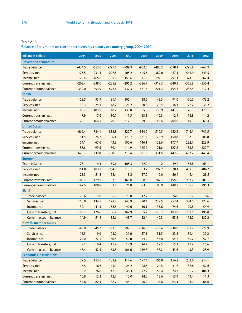**Balance of payments on current accounts, by country or country group, 2004-2012**

| <b>Billions of dollars</b>                  | 2004     | 2005     | 2006     | 2007     | 2008     | 2009     | 2010     | 2011     | 2012     |
|---------------------------------------------|----------|----------|----------|----------|----------|----------|----------|----------|----------|
| <b>Developed economies</b>                  |          |          |          |          |          |          |          |          |          |
| <b>Trade balance</b>                        | $-434.5$ | $-652.0$ | $-797.0$ | $-799.9$ | $-932.5$ | $-488.2$ | $-598.1$ | $-798.8$ | $-767.9$ |
| Services, net                               | 175.5    | 231.1    | 297.8    | 405.2    | 445.6    | 389.0    | 447.1    | 544.9    | 543.5    |
| Income, net                                 | 129.4    | 165.6    | 159.6    | 153.6    | 141.9    | 197.1    | 297.1    | 371.3    | 362.4    |
| Current transfers, net                      | $-202.4$ | $-238.6$ | $-238.9$ | $-296.2$ | $-326.7$ | $-319.3$ | $-340.3$ | $-355.8$ | $-350.4$ |
| <b>Current-account balance</b>              | $-332.0$ | $-493.9$ | $-578.6$ | $-537.3$ | $-671.6$ | $-221.3$ | $-194.3$ | $-238.4$ | $-212.4$ |
| <b>Japan</b>                                |          |          |          |          |          |          |          |          |          |
| <b>Trade balance</b>                        | 128.5    | 93.9     | 81.1     | 105.1    | 38.5     | 43.3     | 91.0     | $-20.6$  | $-73.2$  |
| Services, net                               | $-34.3$  | $-24.1$  | $-18.2$  | $-21.2$  | $-20.8$  | $-20.4$  | $-16.1$  | $-22.2$  | $-31.2$  |
| Income, net                                 | 85.7     | 103.9    | 118.7    | 139.8    | 155.3    | 135.9    | 141.5    | 176.0    | 179.1    |
| <b>Current transfers, net</b>               | $-7.9$   | $-7.6$   | $-10.7$  | $-11.5$  | $-13.1$  | $-12.3$  | $-12.4$  | $-13.8$  | $-14.2$  |
| <b>Current-account balance</b>              | 172.1    | 166.1    | 170.9    | 212.1    | 159.9    | 146.6    | 204.0    | 119.3    | 60.4     |
| <b>United States</b>                        |          |          |          |          |          |          |          |          |          |
| <b>Trade balance</b>                        | $-666.4$ | $-784.1$ | $-838.8$ | $-822.7$ | $-834.0$ | $-510.5$ | $-650.2$ | $-744.1$ | $-741.5$ |
| Services, net                               | 61.5     | 76.2     | 86.4     | 123.7    | 131.7    | 126.9    | 150.8    | 187.3    | 206.8    |
| Income, net                                 | 64.1     | 67.6     | 43.3     | 100.6    | 146.1    | 123.6    | 177.7    | 232.7    | 223.9    |
| <b>Current transfers, net</b>               | $-88.6$  | $-99.5$  | $-89.4$  | $-114.9$ | $-125.2$ | $-121.6$ | $-127.8$ | $-133.5$ | $-129.7$ |
| <b>Current-account balance</b>              | $-629.3$ | $-739.8$ | $-798.5$ | $-713.4$ | $-681.3$ | $-381.6$ | $-449.5$ | $-457.7$ | $-440.4$ |
| <b>Europe<sup>a</sup></b>                   |          |          |          |          |          |          |          |          |          |
| Trade balance                               | 73.1     | 4.1      | $-69.6$  | $-105.3$ | $-172.0$ | $-14.2$  | $-49.2$  | $-65.8$  | 63.1     |
| Services, net                               | 151.8    | 183.3    | 234.9    | 313.1    | 353.7    | 297.7    | 338.1    | 412.3    | 404.7    |
| Income, net                                 | 28.3     | 51.3     | 53.4     | $-18.2$  | $-87.0$  | $-2.0$   | 56.4     | 46.4     | 28.5     |
| Current transfers, net                      | $-105.7$ | $-129.9$ | $-137.1$ | $-168.0$ | $-188.3$ | $-182.7$ | $-195.6$ | $-203.2$ | $-201.1$ |
| <b>Current-account balance</b>              | 147.5    | 108.8    | 81.5     | 21.8     | $-93.5$  | 98.9     | 149.7    | 189.7    | 295.3    |
| <b>EU-15</b>                                |          |          |          |          |          |          |          |          |          |
| <b>Trade balance</b>                        | 78.6     | 2.0      | $-65.1$  | $-73.0$  | $-147.2$ | $-39.1$  | $-74.8$  | $-109.2$ | 0.6      |
| Services, net                               | 110.0    | 134.5    | 178.7    | 243.9    | 270.4    | 222.5    | 257.4    | 324.0    | 323.6    |
| Income, net                                 | 32.1     | 41.5     | 58.8     | 40.6     | 10.1     | 35.6     | 74.6     | 99.8     | 54.9     |
| <b>Current transfers, net</b>               | $-105.7$ | $-126.6$ | $-136.7$ | $-167.9$ | $-185.7$ | $-178.7$ | $-193.9$ | $-202.6$ | $-198.8$ |
| <b>Current-account balance</b>              | 114.9    | 51.4     | 35.6     | 43.7     | $-52.4$  | 40.3     | 63.3     | 112.0    | 180.2    |
| <b>New EU member States</b>                 |          |          |          |          |          |          |          |          |          |
| Trade balance                               | $-43.0$  | $-45.7$  | $-62.3$  | $-92.1$  | $-116.8$ | $-36.4$  | $-38.0$  | $-39.9$  | $-22.9$  |
| Services, net                               | 15.5     | 19.9     | 23.0     | 31.6     | 37.1     | 31.5     | 33.3     | 39.4     | 39.2     |
| Income, net                                 | $-29.0$  | $-27.1$  | $-36.4$  | $-59.0$  | $-54.2$  | $-45.8$  | $-54.2$  | $-60.7$  | $-57.7$  |
| Current transfers, net                      | 9.1      | 10.4     | 11.9     | 12.9     | 14.2     | 12.5     | 15.3     | 17.9     | 15.6     |
| <b>Current-account balance</b>              | $-47.4$  | $-42.4$  | $-63.8$  | $-106.6$ | $-119.7$ | $-38.2$  | $-43.6$  | $-43.3$  | $-25.9$  |
| <b>Economies in transition</b> <sup>b</sup> |          |          |          |          |          |          |          |          |          |
| <b>Trade balance</b>                        | 79.5     | 113.6    | 133.9    | 114.6    | 177.4    | 106.0    | 156.2    | 224.6    | 214.1    |
| Services, net                               | $-16.5$  | $-16.6$  | $-15.9$  | $-24.2$  | $-28.5$  | $-24.5$  | $-31.8$  | $-37.8$  | $-52.6$  |
| Income, net                                 | $-16.2$  | $-26.8$  | $-42.0$  | $-48.3$  | $-72.7$  | $-59.4$  | $-74.7$  | $-100.2$ | $-104.3$ |
| <b>Current transfers, net</b>               | 10.8     | 12.1     | 12.7     | 12.0     | 14.0     | 13.6     | 13.4     | 14.4     | 11.3     |
| <b>Current-account balance</b>              | 57.8     | 82.4     | 88.7     | 54.1     | 90.2     | 35.6     | 63.1     | 101.0    | 68.6     |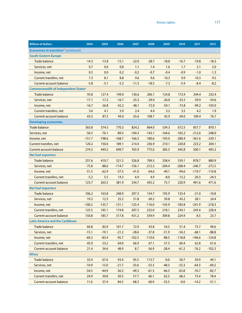| <b>Billions of dollars</b>                              | 2004     | 2005     | 2006     | 2007     | 2008     | 2009     | 2010     | 2011     | 2012     |
|---------------------------------------------------------|----------|----------|----------|----------|----------|----------|----------|----------|----------|
| <b>Economies in transition</b> <sup>b</sup> (continued) |          |          |          |          |          |          |          |          |          |
| <b>South-Eastern Europe</b>                             |          |          |          |          |          |          |          |          |          |
| <b>Trade balance</b>                                    | $-14.3$  | $-13.8$  | $-15.1$  | $-22.0$  | $-28.7$  | $-18.8$  | $-16.7$  | $-19.8$  | $-18.3$  |
| Services, net                                           | 0.7      | 0.6      | 0.8      | 1.1      | 1.4      | 1.6      | 1.7      | 2.1      | 2.0      |
| Income, net                                             | 0.5      | 0.0      | 0.2      | $-0.2$   | $-0.7$   | $-0.4$   | $-0.9$   | $-1.0$   | $-1.3$   |
| Current transfers, net                                  | 7.3      | 8.1      | 8.8      | 9.6      | 9.6      | 10.3     | 9.9      | 10.3     | 9.5      |
| Current-account balance                                 | $-5.8$   | $-5.1$   | $-5.3$   | $-11.5$  | $-18.5$  | $-7.3$   | $-5.9$   | $-8.4$   | $-8.2$   |
| <b>Commonwealth of Independent Statesc</b>              |          |          |          |          |          |          |          |          |          |
| <b>Trade balance</b>                                    | 93.8     | 127.4    | 149.0    | 136.6    | 206.1    | 124.8    | 172.9    | 244.4    | 232.4    |
| Services, net                                           | $-17.1$  | $-17.2$  | $-16.7$  | $-25.3$  | $-29.9$  | $-26.0$  | $-33.5$  | $-39.9$  | $-54.6$  |
| Income, net                                             | $-16.7$  | $-26.8$  | $-42.2$  | $-48.1$  | $-72.0$  | $-59.1$  | $-73.8$  | $-99.2$  | $-103.0$ |
| Current transfers, net                                  | 3.6      | 4.1      | 3.9      | 2.4      | 4.4      | 3.2      | 3.5      | 4.2      | 1.9      |
| <b>Current-account balance</b>                          | 63.5     | 87.5     | 94.0     | 65.6     | 108.7    | 42.9     | 69.0     | 109.4    | 76.7     |
| <b>Developing economies</b>                             |          |          |          |          |          |          |          |          |          |
| <b>Trade balance</b>                                    | 363.8    | 574.5    | 770.3    | 824.2    | 864.0    | 534.3    | 672.5    | 857.7    | 870.1    |
| Services, net                                           | $-56.5$  | $-76.1$  | $-89.5$  | $-104.3$ | $-143.1$ | $-164.6$ | $-165.2$ | $-212.6$ | $-248.0$ |
| Income, net                                             | $-151.7$ | $-198.6$ | $-168.7$ | $-166.5$ | $-180.6$ | $-193.0$ | $-280.4$ | $-361.6$ | $-329.1$ |
| <b>Current transfers, net</b>                           | 120.2    | 150.6    | 189.1    | 214.4    | 236.9    | 210.1    | 220.8    | 223.2    | 204.1    |
| <b>Current-account balance</b>                          | 274.5    | 449.2    | 699.7    | 765.9    | 775.0    | 385.5    | 445.8    | 500.1    | 495.3    |
| <b>Net fuel exporters</b>                               |          |          |          |          |          |          |          |          |          |
| <b>Trade balance</b>                                    | 257.6    | 410.7    | 521.5    | 526.8    | 709.3    | 338.4    | 539.1    | 878.7    | 880.9    |
| Services, net                                           | $-75.8$  | $-88.6$  | $-114.7$ | $-156.1$ | $-212.3$ | $-204.4$ | $-208.4$ | $-240.7$ | $-272.5$ |
| Income, net                                             | $-51.5$  | $-62.9$  | $-37.5$  | $-41.0$  | $-64.6$  | $-49.1$  | $-94.6$  | $-119.7$ | $-110.8$ |
| <b>Current transfers, net</b>                           | $-5.2$   | 5.5      | 14.3     | 6.9      | 4.9      | $-8.0$   | $-13.2$  | $-20.3$  | $-24.3$  |
| <b>Current-account balance</b>                          | 123.7    | 263.5    | 381.9    | 334.7    | 435.2    | 75.7     | 220.9    | 491.6    | 471.6    |
| <b>Net fuel importers</b>                               |          |          |          |          |          |          |          |          |          |
| <b>Trade balance</b>                                    | 106.2    | 163.8    | 248.9    | 297.3    | 154.7    | 195.9    | 133.4    | $-21.0$  | $-10.8$  |
| Services, net                                           | 19.3     | 12.5     | 25.2     | 51.8     | 69.2     | 39.8     | 43.2     | 28.1     | 24.4     |
| Income, net                                             | $-100.2$ | $-135.7$ | $-131.1$ | $-125.4$ | $-116.0$ | $-143.9$ | $-185.8$ | $-241.9$ | $-218.3$ |
| <b>Current transfers, net</b>                           | 125.5    | 145.1    | 174.8    | 207.5    | 232.0    | 218.1    | 234.1    | 243.4    | 228.4    |
| Current-account balance                                 | 150.8    | 185.7    | 317.8    | 431.2    | 339.9    | 309.8    | 224.9    | 8.5      | 23.7     |
| <b>Latin America and the Caribbean</b>                  |          |          |          |          |          |          |          |          |          |
| <b>Trade balance</b>                                    | 60.8     | 83.9     | 101.7    | 72.9     | 43.8     | 54.5     | 51.4     | 75.7     | 49.6     |
| Services, net                                           | $-15.1$  | $-19.1$  | $-21.2$  | $-28.6$  | $-37.8$  | $-51.9$  | $-54.2$  | $-68.1$  | $-88.8$  |
| Income, net                                             | $-69.2$  | $-83.4$  | $-95.7$  | $-102.5$ | $-110.0$ | $-88.5$  | $-118.8$ | $-146.6$ | $-124.8$ |
| Current transfers, net                                  | 45.0     | 53.2     | 64.0     | 66.9     | 67.1     | 57.5     | 60.4     | 62.8     | 61.6     |
| <b>Current-account balance</b>                          | 21.4     | 34.6     | 48.9     | 8.7      | $-36.9$  | $-28.4$  | $-61.2$  | $-76.2$  | $-102.3$ |
| <b>Africa</b>                                           |          |          |          |          |          |          |          |          |          |
| <b>Trade balance</b>                                    | 33.4     | 67.6     | 93.4     | 95.5     | 113.7    | $-0.0$   | 50.7     | 59.9     | 44.1     |
| Services, net                                           | $-10.9$  | $-15.0$  | $-21.7$  | $-33.6$  | $-55.3$  | $-48.3$  | $-53.3$  | $-64.3$  | $-69.2$  |
| Income, net                                             | $-34.5$  | $-44.9$  | $-36.3$  | $-49.3$  | $-61.5$  | $-46.5$  | $-63.8$  | $-76.7$  | $-82.7$  |
| <b>Current transfers, net</b>                           | 24.9     | 30.8     | 50.5     | 57.7     | 66.1     | 62.5     | 68.2     | 73.4     | 78.4     |
| <b>Current-account balance</b>                          | 11.6     | 37.4     | 84.3     | 68.3     | 60.9     | $-33.5$  | $-0.0$   | $-14.2$  | $-31.1$  |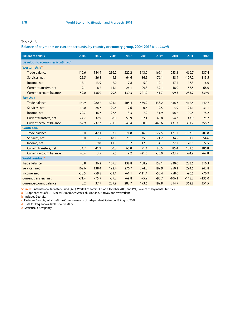**Balance of payments on current accounts, by country or country group, 2004-2012** (*continued*)

| <b>Billions of dollars</b>              | 2004    | 2005    | 2006    | 2007    | 2008     | 2009     | 2010     | 2011     | 2012     |
|-----------------------------------------|---------|---------|---------|---------|----------|----------|----------|----------|----------|
| <b>Developing economies (continued)</b> |         |         |         |         |          |          |          |          |          |
| Western Asia <sup>d</sup>               |         |         |         |         |          |          |          |          |          |
| <b>Trade balance</b>                    | 110.6   | 184.9   | 236.2   | 222.2   | 343.2    | 169.1    | 253.1    | 466.7    | 537.4    |
| Services, net                           | $-25.5$ | $-26.8$ | $-44.3$ | $-64.6$ | $-86.5$  | $-76.1$  | $-88.4$  | $-107.2$ | $-113.5$ |
| Income, net                             | $-17.1$ | $-13.9$ | 2.0     | 7.8     | $-5.0$   | $-12.1$  | $-17.4$  | $-17.3$  | $-16.0$  |
| <b>Current transfers, net</b>           | $-9.1$  | $-8.2$  | $-14.1$ | $-26.1$ | $-29.8$  | $-39.1$  | $-48.0$  | $-58.5$  | $-68.0$  |
| <b>Current-account balance</b>          | 59.0    | 136.0   | 179.8   | 139.3   | 221.9    | 41.7     | 99.3     | 283.7    | 339.9    |
| <b>East Asia</b>                        |         |         |         |         |          |          |          |          |          |
| <b>Trade balance</b>                    | 194.9   | 280.2   | 391.1   | 505.4   | 479.9    | 433.2    | 438.6    | 412.4    | 440.7    |
| Services, net                           | $-14.0$ | $-28.7$ | $-20.4$ | $-2.6$  | 0.6      | $-9.5$   | $-3.9$   | $-24.1$  | $-31.1$  |
| Income, net                             | $-22.7$ | $-46.7$ | $-27.4$ | $-13.3$ | 7.9      | $-31.9$  | $-58.2$  | $-100.5$ | $-78.2$  |
| <b>Current transfers, net</b>           | 24.7    | 32.9    | 38.0    | 50.9    | 62.1     | 48.8     | 54.7     | 43.9     | 25.2     |
| Current-account balance                 | 182.9   | 237.7   | 381.3   | 540.4   | 550.5    | 440.6    | 431.3    | 331.7    | 356.7    |
| <b>South Asia</b>                       |         |         |         |         |          |          |          |          |          |
| <b>Trade balance</b>                    | $-36.0$ | $-42.1$ | $-52.1$ | $-71.8$ | $-116.6$ | $-122.5$ | $-121.2$ | $-157.0$ | $-201.8$ |
| Services, net                           | 9.0     | 13.5    | 18.1    | 25.1    | 35.9     | 21.2     | 34.5     | 51.1     | 54.6     |
| Income, net                             | $-8.1$  | $-9.8$  | $-11.3$ | $-9.2$  | $-12.0$  | $-14.1$  | $-22.2$  | $-20.5$  | $-27.5$  |
| <b>Current transfers, net</b>           | 34.7    | 41.9    | 50.8    | 65.0    | 71.4     | 80.5     | 85.4     | 101.5    | 106.8    |
| <b>Current-account balance</b>          | $-0.4$  | 3.5     | 5.5     | 9.2     | $-21.3$  | $-35.0$  | $-23.5$  | $-24.9$  | $-67.8$  |
| World residual <sup>e</sup>             |         |         |         |         |          |          |          |          |          |
| <b>Trade balance</b>                    | 8.8     | 36.2    | 107.2   | 138.8   | 108.9    | 152.1    | 230.6    | 283.5    | 316.3    |
| Services, net                           | 102.6   | 138.4   | 192.4   | 276.7   | 274.0    | 199.9    | 250.1    | 294.5    | 242.8    |
| Income, net                             | $-38.5$ | $-59.8$ | $-51.1$ | $-61.1$ | $-111.4$ | $-55.4$  | $-58.0$  | $-90.5$  | $-70.9$  |
| Current transfers, net                  | $-71.4$ | $-75.9$ | $-37.2$ | $-69.8$ | $-75.9$  | $-95.7$  | $-106.1$ | $-118.2$ | $-135.0$ |
| <b>Current-account balance</b>          | 0.2     | 37.7    | 209.9   | 282.7   | 193.6    | 199.8    | 314.7    | 362.8    | 351.5    |

**Sources:** International Monetary Fund (IMF), World Economic Outlook, October 2013; and IMF, Balance of Payments Statistics.

**a** Europe consists of EU-15, new EU member States plus Iceland, Norway and Switzerland.

**b** Includes Georgia.

**c** Excludes Georgia, which left the Commonwealth of Independent States on 18 August 2009.

**d** Data for Iraq not available prior to 2005.

**e** Statistical discrepancy.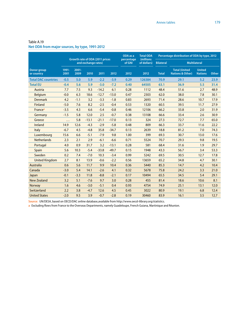|                                  |               |                  |                     |                                 |         | ODA as a             | <b>Total ODA</b>          |                  |                                                      | Percentage distribution of ODA by type, 2012 |              |  |
|----------------------------------|---------------|------------------|---------------------|---------------------------------|---------|----------------------|---------------------------|------------------|------------------------------------------------------|----------------------------------------------|--------------|--|
|                                  |               |                  | and exchange rates) | Growth rate of ODA (2011 prices |         | percentage<br>of GNI | (millions)<br>of dollars) | <b>Bilateral</b> |                                                      | <b>Multilateral</b>                          |              |  |
| <b>Donor group</b><br>or country | 1991-<br>2001 | $2001 -$<br>2009 | 2010                | 2011                            | 2012    | 2012                 | 2012                      | <b>Total</b>     | <b>Total (United)</b><br><b>Nations &amp; Other)</b> | <b>United</b><br><b>Nations</b>              | <b>Other</b> |  |
| <b>Total DAC countries</b>       | $-0.5$        | 5.0              | 5.9                 | $-2.2$                          | $-3.9$  | 0.29                 | 126384                    | 70.9             | 29.1                                                 | 5.2                                          | 23.9         |  |
| <b>Total EU</b>                  | $-0.4$        | 5.6              | 5.9                 | $-3.0$                          | $-7.2$  | 0.40                 | 64505                     | 63.1             | 36.9                                                 | 5.5                                          | 31.4         |  |
| Austria                          | 7.7           | 7.5              | 9.3                 | $-14.2$                         | 6.1     | 0.28                 | 1112                      | 48.4             | 51.6                                                 | 2.7                                          | 48.9         |  |
| <b>Belgium</b>                   | $-0.0$        | 6.3              | 18.6                | $-12.7$                         | $-13.0$ | 0.47                 | 2303                      | 62.0             | 38.0                                                 | 7.8                                          | 30.1         |  |
| <b>Denmark</b>                   | 4.2           | $-1.1$           | 3.2                 | $-3.3$                          | $-1.8$  | 0.83                 | 2693                      | 71.4             | 28.6                                                 | 10.7                                         | 17.9         |  |
| Finland                          | $-5.0$        | 7.6              | 8.2                 | $-2.5$                          | $-0.4$  | 0.53                 | 1320                      | 60.5             | 39.5                                                 | 11.7                                         | 27.9         |  |
| France <sup>a</sup>              | $-3.5$        | 4.3              | 6.6                 | $-5.4$                          | $-0.8$  | 0.46                 | 12106                     | 66.2             | 33.8                                                 | 2.0                                          | 31.9         |  |
| Germany                          | $-1.5$        | 5.8              | 12.0                | 2.5                             | $-0.7$  | 0.38                 | 13108                     | 66.6             | 33.4                                                 | 2.6                                          | 30.9         |  |
| Greece                           | .             | 5.8              | $-13.1$             | $-21.1$                         | $-17.0$ | 0.13                 | 324                       | 27.3             | 72.7                                                 | 7.7                                          | 65.0         |  |
| Ireland                          | 14.9          | 12.6             | $-4.3$              | $-2.9$                          | $-5.8$  | 0.48                 | 809                       | 66.3             | 33.7                                                 | 11.6                                         | 22.2         |  |
| Italy                            | $-6.7$        | 4.5              | $-4.8$              | 35.8                            | $-34.7$ | 0.13                 | 2639                      | 18.8             | 81.2                                                 | 7.0                                          | 74.3         |  |
| Luxembourg                       | 15.6          | 6.6              | $-5.1$              | $-7.9$                          | 9.8     | 1.00                 | 399                       | 69.3             | 30.7                                                 | 13.0                                         | 17.6         |  |
| <b>Netherlands</b>               | 2.3           | 2.1              | 2.9                 | $-6.1$                          | $-6.6$  | 0.71                 | 5524                      | 70.7             | 29.3                                                 | 9.8                                          | 19.5         |  |
| Portugal                         | 4.0           | 0.9              | 31.7                | 3.2                             | $-13.1$ | 0.28                 | 581                       | 68.4             | 31.6                                                 | 1.9                                          | 29.7         |  |
| Spain                            | 5.6           | 10.3             | $-5.4$              | $-33.8$                         | $-49.7$ | 0.15                 | 1948                      | 43.3             | 56.7                                                 | 3.4                                          | 53.3         |  |
| Sweden                           | 0.2           | 7.4              | $-7.0$              | 10.3                            | $-3.4$  | 0.99                 | 5242                      | 69.5             | 30.5                                                 | 12.7                                         | 17.8         |  |
| <b>United Kingdom</b>            | 2.7           | 8.1              | 13.9                | $-0.6$                          | $-2.2$  | 0.56                 | 13659                     | 65.2             | 34.8                                                 | 4.7                                          | 30.1         |  |
| <b>Australia</b>                 | 0.6           | 5.6              | 11.7                | 9.9                             | 10.4    | 0.36                 | 5440                      | 85.3             | 14.7                                                 | 4.2                                          | 10.4         |  |
| Canada                           | $-3.0$        | 5.4              | 14.1                | $-2.6$                          | 4.1     | 0.32                 | 5678                      | 75.8             | 24.2                                                 | 3.3                                          | 21.0         |  |
| Japan                            | $-0.1$        | $-3.3$           | 11.8                | $-8.8$                          | $-2.1$  | 0.17                 | 10494                     | 65.5             | 34.5                                                 | 5.4                                          | 29.1         |  |
| <b>New Zealand</b>               | 3.2           | 5.1              | $-7.6$              | 9.7                             | 3.0     | 0.28                 | 455                       | 81.4             | 18.6                                                 | 10.6                                         | 8.1          |  |
| <b>Norway</b>                    | 1.6           | 4.6              | $-3.0$              | $-5.1$                          | 0.4     | 0.93                 | 4754                      | 74.9             | 25.1                                                 | 13.1                                         | 12.0         |  |
| Switzerland                      | 2.2           | 3.8              | $-4.7$              | 12.6                            | 4.5     | 0.45                 | 3022                      | 80.9             | 19.1                                                 | 6.8                                          | 12.4         |  |
| <b>United States</b>             | $-2.0$        | 9.5              | 3.9                 | $-0.7$                          | $-2.8$  | 0.19                 | 30460                     | 83.9             | 16.1                                                 | 3.5                                          | 12.7         |  |

### Table A.19 **Net ODA from major sources, by type, 1991-2012**

**Source:** UN/DESA, based on OECD/DAC online database,available from http://www.oecd-ilibrary.org/statistics.

**a** Excluding flows from France to the Overseas Departments, namely Guadeloupe, French Guiana, Martinique and Réunion.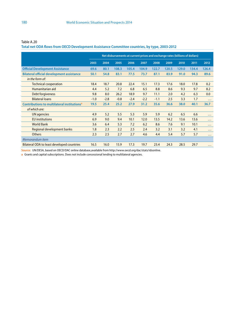## **Total net ODA flows from OECD Development Assistance Committee countries, by type, 2003-2012**

|                                                         | Net disbursements at current prices and exchange rates (billions of dollars) |        |        |        |        |        |       |       |       |          |
|---------------------------------------------------------|------------------------------------------------------------------------------|--------|--------|--------|--------|--------|-------|-------|-------|----------|
|                                                         | 2003                                                                         | 2004   | 2005   | 2006   | 2007   | 2008   | 2009  | 2010  | 2011  | 2012     |
| <b>Official Development Assistance</b>                  | 69.6                                                                         | 80.1   | 108.3  | 105.4  | 104.9  | 122.7  | 120.5 | 129.0 | 134.4 | 126.4    |
| <b>Bilateral official development assistance</b>        | 50.1                                                                         | 54.8   | 83.1   | 77.5   | 73.7   | 87.1   | 83.9  | 91.0  | 94.3  | 89.6     |
| in the form of:                                         |                                                                              |        |        |        |        |        |       |       |       |          |
| <b>Technical cooperation</b>                            | 18.4                                                                         | 18.7   | 20.8   | 22.4   | 15.1   | 17.3   | 17.6  | 18.0  | 17.8  | 0.2      |
| Humanitarian aid                                        | 4.4                                                                          | 5.2    | 7.2    | 6.8    | 6.5    | 8.8    | 8.6   | 9.3   | 9.7   | 8.2      |
| Debt forgiveness                                        | 9.8                                                                          | 8.0    | 26.2   | 18.9   | 9.7    | 11.1   | 2.0   | 4.2   | 6.3   | 0.0      |
| <b>Bilateral loans</b>                                  | $-1.0$                                                                       | $-2.8$ | $-0.8$ | $-2.4$ | $-2.2$ | $-1.1$ | 2.5   | 3.3   | 1.7   | $\cdots$ |
| Contributions to multilateral institutions <sup>a</sup> | 19.5                                                                         | 25.4   | 25.2   | 27.9   | 31.2   | 35.6   | 36.6  | 38.0  | 40.1  | 36.7     |
| of which are:                                           |                                                                              |        |        |        |        |        |       |       |       |          |
| UN agencies                                             | 4.9                                                                          | 5.2    | 5.5    | 5.3    | 5.9    | 5.9    | 6.2   | 6.5   | 6.6   | .        |
| <b>EU</b> institutions                                  | 6.9                                                                          | 9.0    | 9.4    | 10.1   | 12.0   | 13.5   | 14.2  | 13.6  | 13.6  | $\cdots$ |
| <b>World Bank</b>                                       | 3.6                                                                          | 6.4    | 5.3    | 7.2    | 6.2    | 8.6    | 7.6   | 9.1   | 10.1  | $\cdots$ |
| Regional development banks                              | 1.8                                                                          | 2.3    | 2.2    | 2.5    | 2.4    | 3.2    | 3.1   | 3.2   | 4.1   | $\cdots$ |
| <b>Others</b>                                           | 2.3                                                                          | 2.5    | 2.7    | 2.7    | 4.6    | 4.4    | 5.4   | 5.7   | 5.7   | $\cdots$ |
| Memorandum item                                         |                                                                              |        |        |        |        |        |       |       |       |          |
| <b>Bilateral ODA to least developed countries</b>       | 16.5                                                                         | 16.0   | 15.9   | 17.3   | 19.7   | 23.4   | 24.3  | 28.5  | 29.7  | $\cdots$ |

**Source:** UN/DESA, based on OECD/DAC online database,available from http://www.oecd.org/dac/stats/idsonline.

**a** Grants and capital subscriptions. Does not include concessional lending to multilateral agencies.